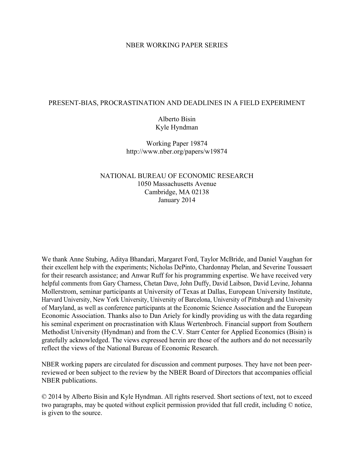#### NBER WORKING PAPER SERIES

#### PRESENT-BIAS, PROCRASTINATION AND DEADLINES IN A FIELD EXPERIMENT

## Alberto Bisin Kyle Hyndman

Working Paper 19874 http://www.nber.org/papers/w19874

## NATIONAL BUREAU OF ECONOMIC RESEARCH 1050 Massachusetts Avenue Cambridge, MA 02138 January 2014

We thank Anne Stubing, Aditya Bhandari, Margaret Ford, Taylor McBride, and Daniel Vaughan for their excellent help with the experiments; Nicholas DePinto, Chardonnay Phelan, and Severine Toussaert for their research assistance; and Anwar Ruff for his programming expertise. We have received very helpful comments from Gary Charness, Chetan Dave, John Duffy, David Laibson, David Levine, Johanna Mollerstrom, seminar participants at University of Texas at Dallas, European University Institute, Harvard University, New York University, University of Barcelona, University of Pittsburgh and University of Maryland, as well as conference participants at the Economic Science Association and the European Economic Association. Thanks also to Dan Ariely for kindly providing us with the data regarding his seminal experiment on procrastination with Klaus Wertenbroch. Financial support from Southern Methodist University (Hyndman) and from the C.V. Starr Center for Applied Economics (Bisin) is gratefully acknowledged. The views expressed herein are those of the authors and do not necessarily reflect the views of the National Bureau of Economic Research.

NBER working papers are circulated for discussion and comment purposes. They have not been peerreviewed or been subject to the review by the NBER Board of Directors that accompanies official NBER publications.

© 2014 by Alberto Bisin and Kyle Hyndman. All rights reserved. Short sections of text, not to exceed two paragraphs, may be quoted without explicit permission provided that full credit, including © notice, is given to the source.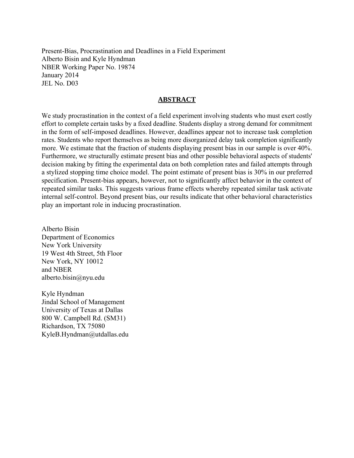Present-Bias, Procrastination and Deadlines in a Field Experiment Alberto Bisin and Kyle Hyndman NBER Working Paper No. 19874 January 2014 JEL No. D03

### **ABSTRACT**

We study procrastination in the context of a field experiment involving students who must exert costly effort to complete certain tasks by a fixed deadline. Students display a strong demand for commitment in the form of self-imposed deadlines. However, deadlines appear not to increase task completion rates. Students who report themselves as being more disorganized delay task completion significantly more. We estimate that the fraction of students displaying present bias in our sample is over 40%. Furthermore, we structurally estimate present bias and other possible behavioral aspects of students' decision making by fitting the experimental data on both completion rates and failed attempts through a stylized stopping time choice model. The point estimate of present bias is 30% in our preferred specification. Present-bias appears, however, not to significantly affect behavior in the context of repeated similar tasks. This suggests various frame effects whereby repeated similar task activate internal self-control. Beyond present bias, our results indicate that other behavioral characteristics play an important role in inducing procrastination.

Alberto Bisin Department of Economics New York University 19 West 4th Street, 5th Floor New York, NY 10012 and NBER alberto.bisin@nyu.edu

Kyle Hyndman Jindal School of Management University of Texas at Dallas 800 W. Campbell Rd. (SM31) Richardson, TX 75080 KyleB.Hyndman@utdallas.edu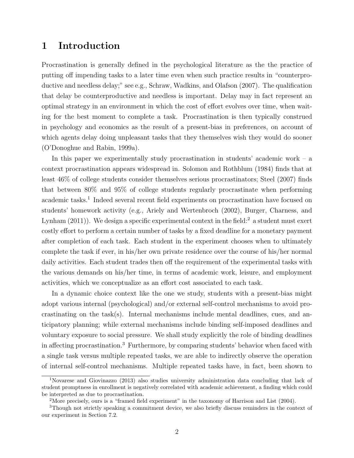# 1 Introduction

Procrastination is generally defined in the psychological literature as the the practice of putting off impending tasks to a later time even when such practice results in "counterproductive and needless delay;" see e.g., [Schraw, Wadkins, and Olafson](#page-48-0) [\(2007\)](#page-48-0). The qualification that delay be counterproductive and needless is important. Delay may in fact represent an optimal strategy in an environment in which the cost of effort evolves over time, when waiting for the best moment to complete a task. Procrastination is then typically construed in psychology and economics as the result of a present-bias in preferences, on account of which agents delay doing unpleasant tasks that they themselves wish they would do sooner [\(O'Donoghue and Rabin, 1999a\)](#page-48-1).

In this paper we experimentally study procrastination in students' academic work – a context procrastination appears widespread in. [Solomon and Rothblum](#page-48-2) [\(1984\)](#page-48-2) finds that at least 46% of college students consider themselves serious procrastinators; [Steel](#page-48-3) [\(2007\)](#page-48-3) finds that between 80% and 95% of college students regularly procrastinate when performing academic tasks.<sup>[1](#page-2-0)</sup> Indeed several recent field experiments on procrastination have focused on students' homework activity (e.g., [Ariely and Wertenbroch](#page-44-0) [\(2002\)](#page-44-0), [Burger, Charness, and](#page-45-0) [Lynham](#page-45-0)  $(2011)$ ). We design a specific experimental context in the field:<sup>[2](#page-2-1)</sup> a student must exert costly effort to perform a certain number of tasks by a fixed deadline for a monetary payment after completion of each task. Each student in the experiment chooses when to ultimately complete the task if ever, in his/her own private residence over the course of his/her normal daily activities. Each student trades then off the requirement of the experimental tasks with the various demands on his/her time, in terms of academic work, leisure, and employment activities, which we conceptualize as an effort cost associated to each task.

In a dynamic choice context like the one we study, students with a present-bias might adopt various internal (psychological) and/or external self-control mechanisms to avoid procrastinating on the task(s). Internal mechanisms include mental deadlines, cues, and anticipatory planning; while external mechanisms include binding self-imposed deadlines and voluntary exposure to social pressure. We shall study explicitly the role of binding deadlines in affecting procrastination.[3](#page-2-2) Furthermore, by comparing students' behavior when faced with a single task versus multiple repeated tasks, we are able to indirectly observe the operation of internal self-control mechanisms. Multiple repeated tasks have, in fact, been shown to

<span id="page-2-0"></span><sup>1</sup>[Novarese and Giovinazzo](#page-47-0) [\(2013\)](#page-47-0) also studies university administration data concluding that lack of student promptness in enrollment is negatively correlated with academic achievement, a finding which could be interpreted as due to procrastination.

<span id="page-2-2"></span><span id="page-2-1"></span><sup>2</sup>More precisely, ours is a "framed field experiment" in the taxonomy of [Harrison and List](#page-46-0) [\(2004\)](#page-46-0).

<sup>3</sup>Though not strictly speaking a commitment device, we also briefly discuss reminders in the context of our experiment in Section [7.2.](#page-40-0)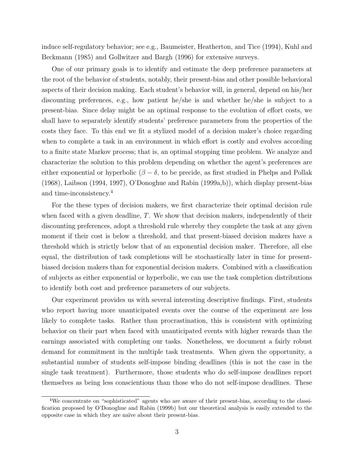induce self-regulatory behavior; see e.g., [Baumeister, Heatherton, and Tice](#page-44-1) [\(1994\)](#page-44-1), [Kuhl and](#page-47-1) [Beckmann](#page-47-1) [\(1985\)](#page-47-1) and [Gollwitzer and Bargh](#page-46-1) [\(1996\)](#page-46-1) for extensive surveys.

One of our primary goals is to identify and estimate the deep preference parameters at the root of the behavior of students, notably, their present-bias and other possible behavioral aspects of their decision making. Each student's behavior will, in general, depend on his/her discounting preferences, e.g., how patient he/she is and whether he/she is subject to a present-bias. Since delay might be an optimal response to the evolution of effort costs, we shall have to separately identify students' preference parameters from the properties of the costs they face. To this end we fit a stylized model of a decision maker's choice regarding when to complete a task in an environment in which effort is costly and evolves according to a finite state Markov process; that is, an optimal stopping time problem. We analyze and characterize the solution to this problem depending on whether the agent's preferences are either exponential or hyperbolic ( $\beta - \delta$ , to be precide, as first studied in [Phelps and Pollak](#page-48-4) [\(1968\)](#page-48-4), [Laibson](#page-47-2) [\(1994,](#page-47-2) [1997\)](#page-47-3), [O'Donoghue and Rabin](#page-48-1) [\(1999a,](#page-48-1)[b\)](#page-48-5)), which display present-bias and time-inconsistency.[4](#page-3-0)

For the these types of decision makers, we first characterize their optimal decision rule when faced with a given deadline,  $T$ . We show that decision makers, independently of their discounting preferences, adopt a threshold rule whereby they complete the task at any given moment if their cost is below a threshold, and that present-biased decision makers have a threshold which is strictly below that of an exponential decision maker. Therefore, all else equal, the distribution of task completions will be stochastically later in time for presentbiased decision makers than for exponential decision makers. Combined with a classification of subjects as either exponential or hyperbolic, we can use the task completion distributions to identify both cost and preference parameters of our subjects.

Our experiment provides us with several interesting descriptive findings. First, students who report having more unanticipated events over the course of the experiment are less likely to complete tasks. Rather than procrastination, this is consistent with optimizing behavior on their part when faced with unanticipated events with higher rewards than the earnings associated with completing our tasks. Nonetheless, we document a fairly robust demand for commitment in the multiple task treatments. When given the opportunity, a substantial number of students self-impose binding deadlines (this is not the case in the single task treatment). Furthermore, those students who do self-impose deadlines report themselves as being less conscientious than those who do not self-impose deadlines. These

<span id="page-3-0"></span><sup>4</sup>We concentrate on "sophisticated" agents who are aware of their present-bias, according to the classification proposed by [O'Donoghue and Rabin](#page-48-5) [\(1999b\)](#page-48-5) but our theoretical analysis is easily extended to the opposite case in which they are na¨ıve about their present-bias.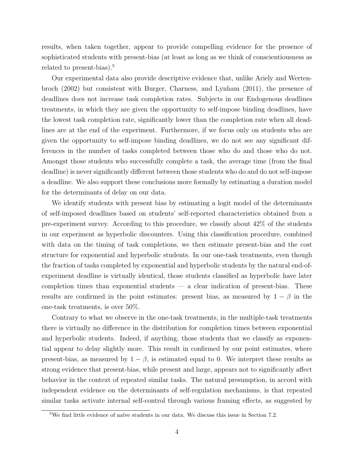results, when taken together, appear to provide compelling evidence for the presence of sophisticated students with present-bias (at least as long as we think of conscientiousness as related to present-bias).<sup>[5](#page-4-0)</sup>

Our experimental data also provide descriptive evidence that, unlike [Ariely and Werten](#page-44-0)[broch](#page-44-0) [\(2002\)](#page-44-0) but consistent with [Burger, Charness, and Lynham](#page-45-0) [\(2011\)](#page-45-0), the presence of deadlines does not increase task completion rates. Subjects in our Endogenous deadlines treatments, in which they are given the opportunity to self-impose binding deadlines, have the lowest task completion rate, significantly lower than the completion rate when all deadlines are at the end of the experiment. Furthermore, if we focus only on students who are given the opportunity to self-impose binding deadlines, we do not see any significant differences in the number of tasks completed between those who do and those who do not. Amongst those students who successfully complete a task, the average time (from the final deadline) is never significantly different between those students who do and do not self-impose a deadline. We also support these conclusions more formally by estimating a duration model for the determinants of delay on our data.

We identify students with present bias by estimating a logit model of the determinants of self-imposed deadlines based on students' self-reported characteristics obtained from a pre-experiment survey. According to this procedure, we classify about 42% of the students in our experiment as hyperbolic discounters. Using this classification procedure, combined with data on the timing of task completions, we then estimate present-bias and the cost structure for exponential and hyperbolic students. In our one-task treatments, even though the fraction of tasks completed by exponential and hyperbolic students by the natural end-ofexperiment deadline is virtually identical, those students classified as hyperbolic have later completion times than exponential students  $-$  a clear indication of present-bias. These results are confirmed in the point estimates: present bias, as measured by  $1 - \beta$  in the one-task treatments, is over 50%.

Contrary to what we observe in the one-task treatments, in the multiple-task treatments there is virtually no difference in the distribution for completion times between exponential and hyperbolic students. Indeed, if anything, those students that we classify as exponential appear to delay slightly more. This result in confirmed by our point estimates, where present-bias, as measured by  $1 - \beta$ , is estimated equal to 0. We interpret these results as strong evidence that present-bias, while present and large, appears not to significantly affect behavior in the context of repeated similar tasks. The natural presumption, in accord with independent evidence on the determinants of self-regulation mechanisms, is that repeated similar tasks activate internal self-control through various framing effects, as suggested by

<span id="page-4-0"></span> $5$ We find little evidence of naïve students in our data. We discuss this issue in Section [7.2.](#page-40-0)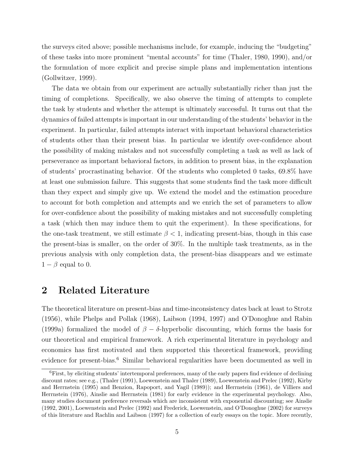the surveys cited above; possible mechanisms include, for example, inducing the "budgeting" of these tasks into more prominent "mental accounts" for time [\(Thaler, 1980,](#page-48-6) [1990\)](#page-49-0), and/or the formulation of more explicit and precise simple plans and implementation intentions [\(Gollwitzer, 1999\)](#page-46-2).

The data we obtain from our experiment are actually substantially richer than just the timing of completions. Specifically, we also observe the timing of attempts to complete the task by students and whether the attempt is ultimately successful. It turns out that the dynamics of failed attempts is important in our understanding of the students' behavior in the experiment. In particular, failed attempts interact with important behavioral characteristics of students other than their present bias. In particular we identify over-confidence about the possibility of making mistakes and not successfully completing a task as well as lack of perseverance as important behavioral factors, in addition to present bias, in the explanation of students' procrastinating behavior. Of the students who completed 0 tasks, 69.8% have at least one submission failure. This suggests that some students find the task more difficult than they expect and simply give up. We extend the model and the estimation procedure to account for both completion and attempts and we enrich the set of parameters to allow for over-confidence about the possibility of making mistakes and not successfully completing a task (which then may induce them to quit the experiment). In these specifications, for the one-task treatment, we still estimate  $\beta$  < 1, indicating present-bias, though in this case the present-bias is smaller, on the order of 30%. In the multiple task treatments, as in the previous analysis with only completion data, the present-bias disappears and we estimate  $1 - \beta$  equal to 0.

## <span id="page-5-1"></span>2 Related Literature

The theoretical literature on present-bias and time-inconsistency dates back at least to [Strotz](#page-48-7) [\(1956\)](#page-48-7), while [Phelps and Pollak](#page-48-4) [\(1968\)](#page-48-4), [Laibson](#page-47-2) [\(1994,](#page-47-2) [1997\)](#page-47-3) and [O'Donoghue and Rabin](#page-48-1) [\(1999a\)](#page-48-1) formalized the model of  $\beta - \delta$ -hyperbolic discounting, which forms the basis for our theoretical and empirical framework. A rich experimental literature in psychology and economics has first motivated and then supported this theoretical framework, providing evidence for present-bias.<sup>[6](#page-5-0)</sup> Similar behavioral regularities have been documented as well in

<span id="page-5-0"></span><sup>6</sup>First, by eliciting students' intertemporal preferences, many of the early papers find evidence of declining discount rates; see e.g., [\(Thaler](#page-49-1) [\(1991\)](#page-49-1), [Loewenstein and Thaler](#page-47-4) [\(1989\)](#page-47-4), [Loewenstein and Prelec](#page-47-5) [\(1992\)](#page-47-5), [Kirby](#page-47-6) [and Herrnstein](#page-47-6) [\(1995\)](#page-47-6) and [Benzion, Rapoport, and Yagil](#page-45-1) [\(1989\)](#page-45-1)); and [Herrnstein](#page-46-3) [\(1961\)](#page-46-3), [de Villiers and](#page-45-2) [Herrnstein](#page-45-2) [\(1976\)](#page-45-2), [Ainslie and Herrnstein](#page-43-0) [\(1981\)](#page-43-0) for early evidence in the experimental psychology. Also, many studies document preference reversals which are inconsistent with exponential discounting; see [Ainslie](#page-43-1) [\(1992,](#page-43-1) [2001\)](#page-43-2), [Loewenstein and Prelec](#page-47-5) [\(1992\)](#page-47-5) and [Frederick, Loewenstein, and O'Donoghue](#page-46-4) [\(2002\)](#page-46-4) for surveys of this literature and [Rachlin and Laibson](#page-48-8) [\(1997\)](#page-48-8) for a collection of early essays on the topic. More recently,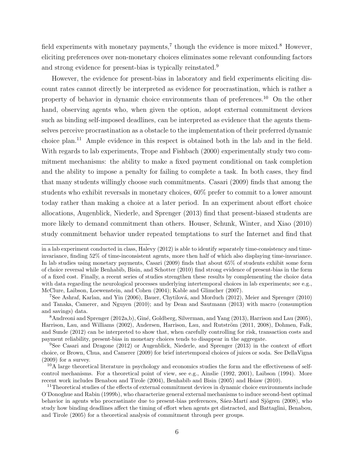field experiments with monetary payments,<sup>[7](#page-6-0)</sup> though the evidence is more mixed.<sup>[8](#page-6-1)</sup> However, eliciting preferences over non-monetary choices eliminates some relevant confounding factors and strong evidence for present-bias is typically reinstated.<sup>[9](#page-6-2)</sup>

However, the evidence for present-bias in laboratory and field experiments eliciting discount rates cannot directly be interpreted as evidence for procrastination, which is rather a property of behavior in dynamic choice environments than of preferences.[10](#page-6-3) On the other hand, observing agents who, when given the option, adopt external commitment devices such as binding self-imposed deadlines, can be interpreted as evidence that the agents themselves perceive procrastination as a obstacle to the implementation of their preferred dynamic choice plan.[11](#page-6-4) Ample evidence in this respect is obtained both in the lab and in the field. With regards to lab experiments, [Trope and Fishbach](#page-49-2) [\(2000\)](#page-49-2) experimentally study two commitment mechanisms: the ability to make a fixed payment conditional on task completion and the ability to impose a penalty for failing to complete a task. In both cases, they find that many students willingly choose such commitments. [Casari](#page-45-3) [\(2009\)](#page-45-3) finds that among the students who exhibit reversals in monetary choices, 60% prefer to commit to a lower amount today rather than making a choice at a later period. In an experiment about effort choice allocations, [Augenblick, Niederle, and Sprenger](#page-44-2) [\(2013\)](#page-44-2) find that present-biased students are more likely to demand commitment than others. [Houser, Schunk, Winter, and Xiao](#page-46-5) [\(2010\)](#page-46-5) study commitment behavior under repeated temptations to surf the Internet and find that

in a lab experiment conducted in class, [Halevy](#page-46-6) [\(2012\)](#page-46-6) is able to identify separately time-consistency and timeinvariance, finding 52% of time-inconsistent agents, more then half of which also displaying time-invariance. In lab studies using monetary payments, [Casari](#page-45-3) [\(2009\)](#page-45-3) finds that about 65% of students exhibit some form of choice reversal while [Benhabib, Bisin, and Schotter](#page-45-4) [\(2010\)](#page-45-4) find strong evidence of present-bias in the form of a fixed cost. Finally, a recent series of studies strengthen these results by complementing the choice data with data regarding the neurological processes underlying intertemporal choices in lab experiments; see e.g., [McClure, Laibson, Loewenstein, and Cohen](#page-47-7) [\(2004\)](#page-47-7); [Kable and Glimcher](#page-47-8) [\(2007\)](#page-47-8).

<span id="page-6-0"></span><sup>&</sup>lt;sup>7</sup>See [Ashraf, Karlan, and Yin](#page-44-3) [\(2006\)](#page-44-3), Bauer, Chytilová, and Morduch [\(2012\)](#page-44-4), [Meier and Sprenger](#page-47-9) [\(2010\)](#page-47-9) and [Tanaka, Camerer, and Nguyen](#page-48-9) [\(2010\)](#page-48-9); and by [Dean and Sautmann](#page-45-5) [\(2013\)](#page-45-5) with macro (consumption and savings) data.

<span id="page-6-1"></span><sup>&</sup>lt;sup>8</sup>[Andreoni and Sprenger](#page-44-5) [\(2012a,](#page-44-5)[b\)](#page-44-6), Giné, Goldberg, Silverman, and Yang [\(2013\)](#page-46-7), [Harrison and Lau](#page-46-8) [\(2005\)](#page-46-8), [Harrison, Lau, and Williams](#page-46-9) [\(2002\)](#page-46-9), Andersen, Harrison, Lau, and Rutström [\(2011,](#page-44-7) [2008\)](#page-44-8), [Dohmen, Falk,](#page-45-6) [and Sunde](#page-45-6) [\(2012\)](#page-45-6) can be interpreted to show that, when carefully controlling for risk, transaction costs and payment reliability, present-bias in monetary choices tends to disappear in the aggregate.

<span id="page-6-2"></span><sup>9</sup>See [Casari and Dragone](#page-45-7) [\(2012\)](#page-45-7) or [Augenblick, Niederle, and Sprenger](#page-44-2) [\(2013\)](#page-44-2) in the context of effort choice, or [Brown, Chua, and Camerer](#page-45-8) [\(2009\)](#page-45-8) for brief intertemporal choices of juices or soda. See [DellaVigna](#page-45-9) [\(2009\)](#page-45-9) for a survey.

<span id="page-6-3"></span><sup>&</sup>lt;sup>10</sup>A large theoretical literature in psychology and economics studies the form and the effectiveness of selfcontrol mechanisms. For a theoretical point of view, see e.g., [Ainslie](#page-43-1) [\(1992,](#page-43-1) [2001\)](#page-43-2), [Laibson](#page-47-2) [\(1994\)](#page-47-2). More recent work includes [Benabou and Tirole](#page-44-9) [\(2004\)](#page-44-9), [Benhabib and Bisin](#page-44-10) [\(2005\)](#page-44-10) and [Hsiaw](#page-46-10) [\(2010\)](#page-46-10).

<span id="page-6-4"></span><sup>&</sup>lt;sup>11</sup>Theoretical studies of the effects of external commitment devices in dynamic choice environments include [O'Donoghue and Rabin](#page-48-5) [\(1999b\)](#page-48-5), who characterize general external mechanisms to induce second-best optimal behavior in agents who procrastinate due to present-bias preferences, Sáez-Martí and Sjögren [\(2008\)](#page-48-10), who study how binding deadlines affect the timing of effort when agents get distracted, and [Battaglini, Benabou,](#page-44-11) [and Tirole](#page-44-11) [\(2005\)](#page-44-11) for a theoretical analysis of commitment through peer groups.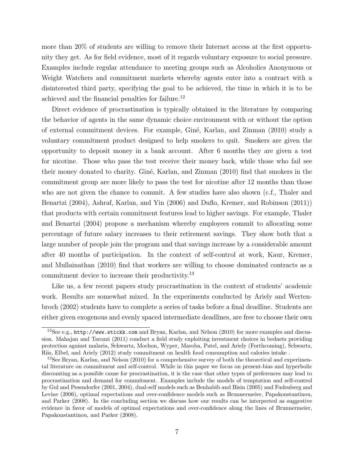more than 20% of students are willing to remove their Internet access at the first opportunity they get. As for field evidence, most of it regards voluntary exposure to social pressure. Examples include regular attendance to meeting groups such as Alcoholics Anonymous or Weight Watchers and commitment markets whereby agents enter into a contract with a disinterested third party, specifying the goal to be achieved, the time in which it is to be achieved and the financial penalties for failure.[12](#page-7-0)

Direct evidence of procrastination is typically obtained in the literature by comparing the behavior of agents in the same dynamic choice environment with or without the option of external commitment devices. For example, Giné, Karlan, and Zinman [\(2010\)](#page-46-11) study a voluntary commitment product designed to help smokers to quit. Smokers are given the opportunity to deposit money in a bank account. After 6 months they are given a test for nicotine. Those who pass the test receive their money back, while those who fail see their money donated to charity. [Gin´e, Karlan, and Zinman](#page-46-11) [\(2010\)](#page-46-11) find that smokers in the commitment group are more likely to pass the test for nicotine after 12 months than those who are not given the chance to commit. A few studies have also shown (c.f., [Thaler and](#page-49-3) [Benartzi](#page-49-3) [\(2004\)](#page-49-3), [Ashraf, Karlan, and Yin](#page-44-3) [\(2006\)](#page-44-3) and [Duflo, Kremer, and Robinson](#page-45-10) [\(2011\)](#page-45-10)) that products with certain commitment features lead to higher savings. For example, [Thaler](#page-49-3) [and Benartzi](#page-49-3) [\(2004\)](#page-49-3) propose a mechanism whereby employees commit to allocating some percentage of future salary increases to their retirement savings. They show both that a large number of people join the program and that savings increase by a considerable amount after 40 months of participation. In the context of self-control at work, [Kaur, Kremer,](#page-47-10) [and Mullainathan](#page-47-10) [\(2010\)](#page-47-10) find that workers are willing to choose dominated contracts as a commitment device to increase their productivity.[13](#page-7-1)

Like us, a few recent papers study procrastination in the context of students' academic work. Results are somewhat mixed. In the experiments conducted by [Ariely and Werten](#page-44-0)[broch](#page-44-0) [\(2002\)](#page-44-0) students have to complete a series of tasks before a final deadline. Students are either given exogenous and evenly spaced intermediate deadlines, are free to choose their own

<span id="page-7-0"></span><sup>&</sup>lt;sup>12</sup>See e.g., <http://www.stickk.com> and [Bryan, Karlan, and Nelson](#page-45-11) [\(2010\)](#page-45-11) for more examples and discussion. [Mahajan and Tarozzi](#page-47-11) [\(2011\)](#page-47-11) conduct a field study exploiting investment choices in bednets providing protection against malaria, [Schwartz, Mochon, Wyper, Maroba, Patel, and Ariely](#page-48-11) [\(Forthcoming\)](#page-48-11), [Schwartz,](#page-48-12) [Riis, Elbel, and Ariely](#page-48-12) [\(2012\)](#page-48-12) study commitment on health food consumption and calories intake .

<span id="page-7-1"></span><sup>&</sup>lt;sup>13</sup>See [Bryan, Karlan, and Nelson](#page-45-11) [\(2010\)](#page-45-11) for a comprehensive survey of both the theoretical and experimental literature on commitment and self-control. While in this paper we focus on present-bias and hyperbolic discounting as a possible cause for procrastination, it is the case that other types of preferences may lead to procrastination and demand for commitment. Examples include the models of temptation and self-control by [Gul and Pesendorfer](#page-46-12) [\(2001,](#page-46-12) [2004\)](#page-46-13), dual-self models such as [Benhabib and Bisin](#page-44-10) [\(2005\)](#page-44-10) and [Fudenberg and](#page-46-14) [Levine](#page-46-14) [\(2006\)](#page-46-14), optimal expectations and over-confidence models such as [Brunnermeier, Papakonstantinou,](#page-45-12) [and Parker](#page-45-12) [\(2008\)](#page-45-12). In the concluding section we discuss how our results can be interpreted as suggestive evidence in favor of models of optimal expectations and over-confidence along the lines of [Brunnermeier,](#page-45-12) [Papakonstantinou, and Parker](#page-45-12) [\(2008\)](#page-45-12).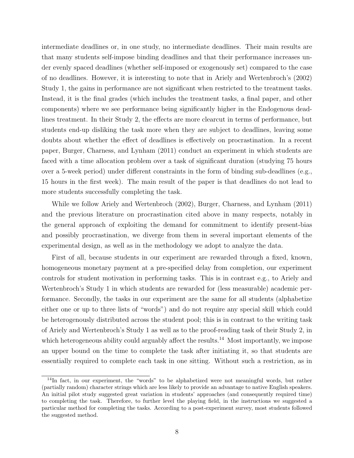intermediate deadlines or, in one study, no intermediate deadlines. Their main results are that many students self-impose binding deadlines and that their performance increases under evenly spaced deadlines (whether self-imposed or exogenously set) compared to the case of no deadlines. However, it is interesting to note that in [Ariely and Wertenbroch'](#page-44-0)s [\(2002\)](#page-44-0) Study 1, the gains in performance are not significant when restricted to the treatment tasks. Instead, it is the final grades (which includes the treatment tasks, a final paper, and other components) where we see performance being significantly higher in the Endogenous deadlines treatment. In their Study 2, the effects are more clearcut in terms of performance, but students end-up disliking the task more when they are subject to deadlines, leaving some doubts about whether the effect of deadlines is effectively on procrastination. In a recent paper, [Burger, Charness, and Lynham](#page-45-0) [\(2011\)](#page-45-0) conduct an experiment in which students are faced with a time allocation problem over a task of significant duration (studying 75 hours over a 5-week period) under different constraints in the form of binding sub-deadlines (e.g., 15 hours in the first week). The main result of the paper is that deadlines do not lead to more students successfully completing the task.

While we follow [Ariely and Wertenbroch](#page-44-0) [\(2002\)](#page-44-0), [Burger, Charness, and Lynham](#page-45-0) [\(2011\)](#page-45-0) and the previous literature on procrastination cited above in many respects, notably in the general approach of exploiting the demand for commitment to identify present-bias and possibly procrastination, we diverge from them in several important elements of the experimental design, as well as in the methodology we adopt to analyze the data.

First of all, because students in our experiment are rewarded through a fixed, known, homogeneous monetary payment at a pre-specified delay from completion, our experiment controls for student motivation in performing tasks. This is in contrast e.g., to [Ariely and](#page-44-0) [Wertenbroch'](#page-44-0)s Study 1 in which students are rewarded for (less measurable) academic performance. Secondly, the tasks in our experiment are the same for all students (alphabetize either one or up to three lists of "words") and do not require any special skill which could be heterogenously distributed across the student pool; this is in contrast to the writing task of [Ariely and Wertenbroch'](#page-44-0)s Study 1 as well as to the proof-reading task of their Study 2, in which heterogeneous ability could arguably affect the results.<sup>[14](#page-8-0)</sup> Most importantly, we impose an upper bound on the time to complete the task after initiating it, so that students are essentially required to complete each task in one sitting. Without such a restriction, as in

<span id="page-8-0"></span><sup>&</sup>lt;sup>14</sup>In fact, in our experiment, the "words" to be alphabetized were not meaningful words, but rather (partially random) character strings which are less likely to provide an advantage to native English speakers. An initial pilot study suggested great variation in students' approaches (and consequently required time) to completing the task. Therefore, to further level the playing field, in the instructions we suggested a particular method for completing the tasks. According to a post-experiment survey, most students followed the suggested method.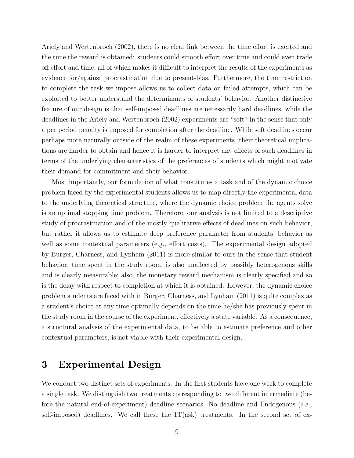[Ariely and Wertenbroch](#page-44-0) [\(2002\)](#page-44-0), there is no clear link between the time effort is exerted and the time the reward is obtained: students could smooth effort over time and could even trade off effort and time, all of which makes it difficult to interpret the results of the experiments as evidence for/against procrastination due to present-bias. Furthermore, the time restriction to complete the task we impose allows us to collect data on failed attempts, which can be exploited to better understand the determinants of students' behavior. Another distinctive feature of our design is that self-imposed deadlines are necessarily hard deadlines, while the deadlines in the [Ariely and Wertenbroch](#page-44-0) [\(2002\)](#page-44-0) experiments are "soft" in the sense that only a per period penalty is imposed for completion after the deadline. While soft deadlines occur perhaps more naturally outside of the realm of these experiments, their theoretical implications are harder to obtain and hence it is harder to interpret any effects of such deadlines in terms of the underlying characteristics of the preferences of students which might motivate their demand for commitment and their behavior.

Most importantly, our formulation of what constitutes a task and of the dynamic choice problem faced by the experimental students allows us to map directly the experimental data to the underlying theoretical structure, where the dynamic choice problem the agents solve is an optimal stopping time problem. Therefore, our analysis is not limited to a descriptive study of procrastination and of the mostly qualitative effects of deadlines on such behavior, but rather it allows us to estimate deep preference parameter from students' behavior as well as some contextual parameters (e.g., effort costs). The experimental design adopted by [Burger, Charness, and Lynham](#page-45-0) [\(2011\)](#page-45-0) is more similar to ours in the sense that student behavior, time spent in the study room, is also unaffected by possibly heterogenous skills and is clearly measurable; also, the monetary reward mechanism is clearly specified and so is the delay with respect to completion at which it is obtained. However, the dynamic choice problem students are faced with in [Burger, Charness, and Lynham](#page-45-0) [\(2011\)](#page-45-0) is quite complex as a student's choice at any time optimally depends on the time he/she has previously spent in the study room in the course of the experiment, effectively a state variable. As a consequence, a structural analysis of the experimental data, to be able to estimate preference and other contextual parameters, is not viable with their experimental design.

# 3 Experimental Design

We conduct two distinct sets of experiments. In the first students have one week to complete a single task. We distinguish two treatments corresponding to two different intermediate (before the natural end-of-experiment) deadline scenarios: No deadline and Endogenous  $(i.e.,$ self-imposed) deadlines. We call these the  $1T(ask)$  treatments. In the second set of ex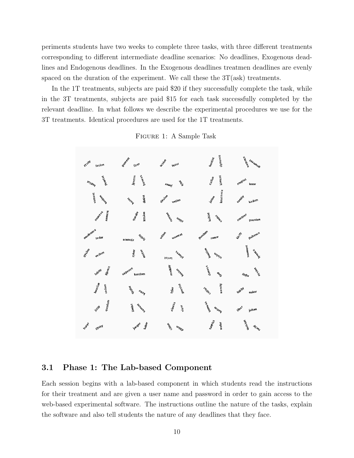periments students have two weeks to complete three tasks, with three different treatments corresponding to different intermediate deadline scenarios: No deadlines, Exogenous deadlines and Endogenous deadlines. In the Exogenous deadlines treatmen deadlines are evenly spaced on the duration of the experiment. We call these the  $3T(ask)$  treatments.

In the 1T treatments, subjects are paid \$20 if they successfully complete the task, while in the 3T treatments, subjects are paid \$15 for each task successfully completed by the relevant deadline. In what follows we describe the experimental procedures we use for the 3T treatments. Identical procedures are used for the 1T treatments.

| <b>MSIN</b> | Oement         | BSION          | dynence         | werence        |
|-------------|----------------|----------------|-----------------|----------------|
| fasion      | lizer          | fezer          | houtist         | Juaumon        |
| bourist     | beness         | DE             | kiment          | roupist        |
| Isidey      | jyness         | <b>Jamil</b>   | Cution          | loxor          |
| vament      | dotist         | desion         | koucence        | <b>Hamil</b>   |
| World       | tainy          | vetion         | hation R        | kadom          |
| hamen       | 9uodor         | Manin          | kabist          | rooquer        |
| tomes's     | hysion         | uonz           | ISON            | poosion        |
| moobence    | MIPL           | Wition         | paddam          | puhence        |
| tedor       | zyrence        | wament         | romor           | kich.          |
| 94sich      | zyker          | Ssauld         | Monthou         | sooment        |
| vedom       | ng that        | <b>J</b> zinsl | 40/5/5          | a Aread        |
| fijence     | tepence        | moonity        | doness          | <b>PISTER</b>  |
| Iubiel      | koodom         | uoisny         | <b>FON</b>      | $A\eta/\eta_H$ |
| hoosinn     | <b>PONTAGE</b> | Jeleoop        | wemity          | fupity         |
| vadom       | <b>JOIDY</b>   | lyjer          | ISIGE           | nakor          |
| quodom      | Iuauns         | hiness         | <b>SS-34MPD</b> | ilber          |
| With        | limist         | vizer          | uoneg           | jidom          |
| Duter       | kahor          | Jour's         | topist          | woreign        |
| gyrity      | igoger         | uonin          | wefor           | $n_{D_2}$      |

Figure 1: A Sample Task

## 3.1 Phase 1: The Lab-based Component

Each session begins with a lab-based component in which students read the instructions for their treatment and are given a user name and password in order to gain access to the web-based experimental software. The instructions outline the nature of the tasks, explain the software and also tell students the nature of any deadlines that they face.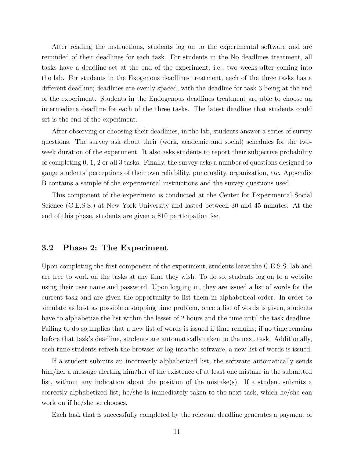After reading the instructions, students log on to the experimental software and are reminded of their deadlines for each task. For students in the No deadlines treatment, all tasks have a deadline set at the end of the experiment; i.e., two weeks after coming into the lab. For students in the Exogenous deadlines treatment, each of the three tasks has a different deadline; deadlines are evenly spaced, with the deadline for task 3 being at the end of the experiment. Students in the Endogenous deadlines treatment are able to choose an intermediate deadline for each of the three tasks. The latest deadline that students could set is the end of the experiment.

After observing or choosing their deadlines, in the lab, students answer a series of survey questions. The survey ask about their (work, academic and social) schedules for the twoweek duration of the experiment. It also asks students to report their subjective probability of completing 0, 1, 2 or all 3 tasks. Finally, the survey asks a number of questions designed to gauge students' perceptions of their own reliability, punctuality, organization, etc. Appendix [B](#page-56-0) contains a sample of the experimental instructions and the survey questions used.

This component of the experiment is conducted at the Center for Experimental Social Science (C.E.S.S.) at New York University and lasted between 30 and 45 minutes. At the end of this phase, students are given a \$10 participation fee.

### 3.2 Phase 2: The Experiment

Upon completing the first component of the experiment, students leave the C.E.S.S. lab and are free to work on the tasks at any time they wish. To do so, students log on to a website using their user name and password. Upon logging in, they are issued a list of words for the current task and are given the opportunity to list them in alphabetical order. In order to simulate as best as possible a stopping time problem, once a list of words is given, students have to alphabetize the list within the lesser of 2 hours and the time until the task deadline. Failing to do so implies that a new list of words is issued if time remains; if no time remains before that task's deadline, students are automatically taken to the next task. Additionally, each time students refresh the browser or log into the software, a new list of words is issued.

If a student submits an incorrectly alphabetized list, the software automatically sends him/her a message alerting him/her of the existence of at least one mistake in the submitted list, without any indication about the position of the mistake(s). If a student submits a correctly alphabetized list, he/she is immediately taken to the next task, which he/she can work on if he/she so chooses.

Each task that is successfully completed by the relevant deadline generates a payment of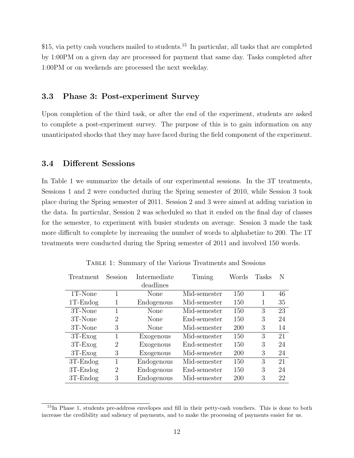\$[15](#page-12-0), via petty cash vouchers mailed to students.<sup>15</sup> In particular, all tasks that are completed by 1:00PM on a given day are processed for payment that same day. Tasks completed after 1:00PM or on weekends are processed the next weekday.

### 3.3 Phase 3: Post-experiment Survey

Upon completion of the third task, or after the end of the experiment, students are asked to complete a post-experiment survey. The purpose of this is to gain information on any unanticipated shocks that they may have faced during the field component of the experiment.

## 3.4 Different Sessions

In Table [1](#page-12-1) we summarize the details of our experimental sessions. In the 3T treatments, Sessions 1 and 2 were conducted during the Spring semester of 2010, while Session 3 took place during the Spring semester of 2011. Session 2 and 3 were aimed at adding variation in the data. In particular, Session 2 was scheduled so that it ended on the final day of classes for the semester, to experiment with busier students on average. Session 3 made the task more difficult to complete by increasing the number of words to alphabetize to 200. The 1T treatments were conducted during the Spring semester of 2011 and involved 150 words.

<span id="page-12-1"></span>

| Treatment   | Session        | Intermediate | Timing       | Words      | Tasks | N  |
|-------------|----------------|--------------|--------------|------------|-------|----|
|             |                | deadlines    |              |            |       |    |
| 1T-None     |                | None         | Mid-semester | 150        | 1     | 46 |
| $1T$ -Endog | 1              | Endogenous   | Mid-semester | 150        | 1     | 35 |
| 3T-None     | 1              | None         | Mid-semester | 150        | 3     | 23 |
| 3T-None     | $\overline{2}$ | None         | End-semester | 150        | 3     | 24 |
| 3T-None     | 3              | None         | Mid-semester | <b>200</b> | 3     | 14 |
| $3T$ -Exog  | 1              | Exogenous    | Mid-semester | 150        | 3     | 21 |
| $3T$ -Exog  | 2              | Exogenous    | End-semester | 150        | 3     | 24 |
| $3T$ -Exog  | 3              | Exogenous    | Mid-semester | 200        | 3     | 24 |
| $3T$ -Endog |                | Endogenous   | Mid-semester | 150        | 3     | 21 |
| $3T$ -Endog | $\overline{2}$ | Endogenous   | End-semester | 150        | 3     | 24 |
| $3T$ -Endog | 3              | Endogenous   | Mid-semester | 200        | 3     | 22 |

Table 1: Summary of the Various Treatments and Sessions

<span id="page-12-0"></span><sup>15</sup>In Phase 1, students pre-address envelopes and fill in their petty-cash vouchers. This is done to both increase the credibility and saliency of payments, and to make the processing of payments easier for us.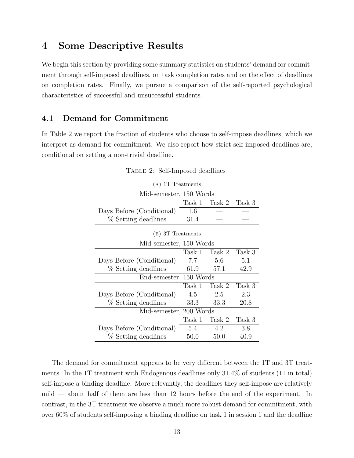# 4 Some Descriptive Results

We begin this section by providing some summary statistics on students' demand for commitment through self-imposed deadlines, on task completion rates and on the effect of deadlines on completion rates. Finally, we pursue a comparison of the self-reported psychological characteristics of successful and unsuccessful students.

## 4.1 Demand for Commitment

<span id="page-13-0"></span>In Table [2](#page-13-0) we report the fraction of students who choose to self-impose deadlines, which we interpret as demand for commitment. We also report how strict self-imposed deadlines are, conditional on setting a non-trivial deadline.

| $(A)$ 1T Treatments       |        |        |        |  |  |  |
|---------------------------|--------|--------|--------|--|--|--|
| Mid-semester, 150 Words   |        |        |        |  |  |  |
|                           | Task 1 | Task 2 | Task 3 |  |  |  |
| Days Before (Conditional) | 1.6    |        |        |  |  |  |
| % Setting deadlines       | 31.4   |        |        |  |  |  |
| (B) 3T Treatments         |        |        |        |  |  |  |
| Mid-semester, 150 Words   |        |        |        |  |  |  |
|                           | Task 1 | Task 2 | Task 3 |  |  |  |
| Days Before (Conditional) | 7.7    | 5.6    | 5.1    |  |  |  |
| % Setting deadlines       | 61.9   | 57.1   | 42.9   |  |  |  |
| End-semester, 150 Words   |        |        |        |  |  |  |
|                           | Task 1 | Task 2 | Task 3 |  |  |  |
| Days Before (Conditional) | 4.5    | 2.5    | 2.3    |  |  |  |
| % Setting deadlines       | 33.3   | 33.3   | 20.8   |  |  |  |
| Mid-semester, 200 Words   |        |        |        |  |  |  |
|                           | Task 1 | Task 2 | Task 3 |  |  |  |
| Days Before (Conditional) | 5.4    | 4.2    | 3.8    |  |  |  |
| % Setting deadlines       | 50.0   | 50.0   | 40.9   |  |  |  |

| TABLE 2: Self-Imposed deadlines |  |
|---------------------------------|--|
|                                 |  |

The demand for commitment appears to be very different between the 1T and 3T treatments. In the 1T treatment with Endogenous deadlines only 31.4% of students (11 in total) self-impose a binding deadline. More relevantly, the deadlines they self-impose are relatively mild — about half of them are less than 12 hours before the end of the experiment. In contrast, in the 3T treatment we observe a much more robust demand for commitment, with over 60% of students self-imposing a binding deadline on task 1 in session 1 and the deadline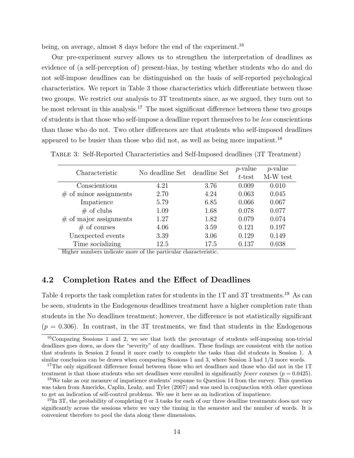being, on average, almost 8 days before the end of the experiment.<sup>[16](#page-14-0)</sup>

Our pre-experiment survey allows us to strengthen the interpretation of deadlines as evidence of (a self-perception of) present-bias, by testing whether students who do and do not self-impose deadlines can be distinguished on the basis of self-reported psychological characteristics. We report in Table [3](#page-14-1) those characteristics which differentiate between those two groups. We restrict our analysis to 3T treatments since, as we argued, they turn out to be most relevant in this analysis.<sup>[17](#page-14-2)</sup> The most significant difference between these two groups of students is that those who self-impose a deadline report themselves to be less conscientious than those who do not. Two other differences are that students who self-imposed deadlines appeared to be busier than those who did not, as well as being more impatient.<sup>[18](#page-14-3)</sup>

<span id="page-14-1"></span>

| Characteristic           | No deadline Set | deadline Set | $p$ -value<br>t-test | $p$ -value<br>M-W test |
|--------------------------|-----------------|--------------|----------------------|------------------------|
| Conscientious            | 4.21            | 3.76         | 0.009                | 0.010                  |
| $#$ of minor assignments | 2.70            | 4.24         | 0.063                | 0.045                  |
| Impatience               | 5.79            | 6.85         | 0.066                | 0.067                  |
| $#$ of clubs             | 1.09            | 1.68         | 0.078                | 0.077                  |
| $#$ of major assignments | 1.27            | 1.82         | 0.079                | 0.074                  |
| $#$ of courses           | 4.06            | 3.59         | 0.121                | 0.197                  |
| Unexpected events        | 3.39            | 3.06         | 0.129                | 0.149                  |
| Time socializing         | 12.5            | 17.5         | 0.137                | 0.038                  |

Higher numbers indicate more of the particular characteristic.

### 4.2 Completion Rates and the Effect of Deadlines

Table [4](#page-15-0) reports the task completion rates for students in the 1T and 3T treatments.<sup>[19](#page-14-4)</sup> As can be seen, students in the Endogenous deadlines treatment have a higher completion rate than students in the No deadlines treatment; however, the difference is not statistically significant  $(p = 0.306)$ . In contrast, in the 3T treatments, we find that students in the Endogenous

<span id="page-14-0"></span><sup>16</sup>Comparing Sessions 1 and 2, we see that both the percentage of students self-imposing non-trivial deadlines goes down, as does the "severity" of any deadlines. These findings are consistent with the notion that students in Session 2 found it more costly to complete the tasks than did students in Session 1. A similar conclusion can be drawn when comparing Sessions 1 and 3, where Session 3 had 1/3 more words.

<span id="page-14-2"></span><sup>&</sup>lt;sup>17</sup>The only significant difference found between those who set deadlines and those who did not in the 1T treatment is that those students who set deadlines were enrolled in significantly *fewer* courses  $(p = 0.0425)$ .

<span id="page-14-3"></span><sup>&</sup>lt;sup>18</sup>We take as our measure of impatience students' response to Question 14 from the survey. This question was taken from [Americks, Caplin, Leahy, and Tyler](#page-44-12) [\(2007\)](#page-44-12) and was used in conjunction with other questions to get an indication of self-control problems. We use it here as an indication of impatience.

<span id="page-14-4"></span> $19$ In 3T, the probability of completing 0 or 3 tasks for each of our three deadline treatments does not vary significantly across the sessions where we vary the timing in the semester and the number of words. It is convenient therefore to pool the data along these dimensions.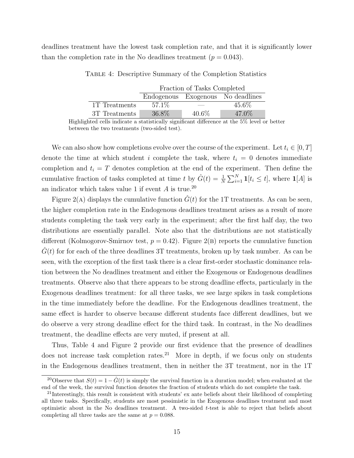<span id="page-15-0"></span>deadlines treatment have the lowest task completion rate, and that it is significantly lower than the completion rate in the No deadlines treatment  $(p = 0.043)$ .

|               | Fraction of Tasks Completed       |          |          |  |  |  |
|---------------|-----------------------------------|----------|----------|--|--|--|
|               | Endogenous Exogenous No deadlines |          |          |  |  |  |
| 1T Treatments | 57.1\%                            |          | $45.6\%$ |  |  |  |
| 3T Treatments | 36.8%                             | $40.6\%$ | 47.0%    |  |  |  |

Table 4: Descriptive Summary of the Completion Statistics

Highlighted cells indicate a statistically significant difference at the 5% level or better between the two treatments (two-sided test).

We can also show how completions evolve over the course of the experiment. Let  $t_i \in [0, T]$ denote the time at which student i complete the task, where  $t_i = 0$  denotes immediate completion and  $t_i = T$  denotes completion at the end of the experiment. Then define the cumulative fraction of tasks completed at time t by  $\hat{G}(t) = \frac{1}{N} \sum_{i=1}^{N} \mathbf{1}[t_i \leq t]$ , where  $\mathbf{1}[A]$  is an indicator which takes value 1 if event  $A$  is true.<sup>[20](#page-15-1)</sup>

Figure [2\(](#page-16-0)A) displays the cumulative function  $\hat{G}(t)$  for the 1T treatments. As can be seen, the higher completion rate in the Endogenous deadlines treatment arises as a result of more students completing the task very early in the experiment; after the first half day, the two distributions are essentially parallel. Note also that the distributions are not statistically different (Kolmogorov-Smirnov test,  $p = 0.42$ ). Figure [2\(](#page-16-0)B) reports the cumulative function  $G(t)$  for for each of the three deadlines 3T treatments, broken up by task number. As can be seen, with the exception of the first task there is a clear first-order stochastic dominance relation between the No deadlines treatment and either the Exogenous or Endogenous deadlines treatments. Observe also that there appears to be strong deadline effects, particularly in the Exogenous deadlines treatment: for all three tasks, we see large spikes in task completions in the time immediately before the deadline. For the Endogenous deadlines treatment, the same effect is harder to observe because different students face different deadlines, but we do observe a very strong deadline effect for the third task. In contrast, in the No deadlines treatment, the deadline effects are very muted, if present at all.

Thus, Table [4](#page-15-0) and Figure [2](#page-16-0) provide our first evidence that the presence of deadlines does not increase task completion rates. $21$  More in depth, if we focus only on students in the Endogenous deadlines treatment, then in neither the 3T treatment, nor in the 1T

<span id="page-15-1"></span><sup>&</sup>lt;sup>20</sup>Observe that  $S(t) = 1 - \hat{G}(t)$  is simply the survival function in a duration model; when evaluated at the end of the week, the survival function denotes the fraction of students which do not complete the task.

<span id="page-15-2"></span><sup>&</sup>lt;sup>21</sup>Interestingly, this result is consistent with students' ex ante beliefs about their likelihood of completing all three tasks. Specifically, students are most pessimistic in the Exogenous deadlines treatment and most optimistic about in the No deadlines treatment. A two-sided  $t$ -test is able to reject that beliefs about completing all three tasks are the same at  $p = 0.088$ .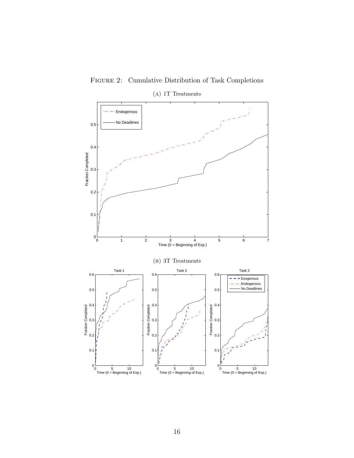<span id="page-16-0"></span>

Figure 2: Cumulative Distribution of Task Completions (a) 1T Treatments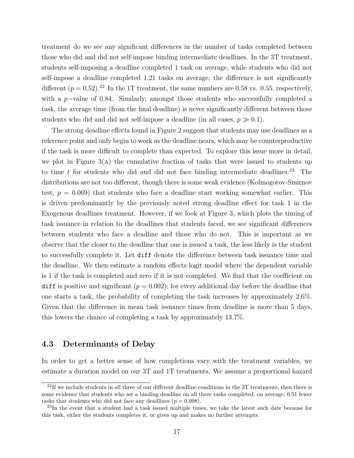treatment do we see any significant differences in the number of tasks completed between those who did and did not self-impose binding intermediate deadlines. In the 3T treatment, students self-imposing a deadline completed 1 task on average, while students who did not self-impose a deadline completed 1.21 tasks on average; the difference is not significantly different  $(p = 0.52)$ .<sup>[22](#page-17-0)</sup> In the 1T treatment, the same numbers are 0.58 vs. 0.55, respectively, with a p−value of 0.84. Similarly, amongst those students who successfully completed a task, the average time (from the final deadline) is never significantly different between those students who did and did not self-impose a deadline (in all cases,  $p \gg 0.1$ ).

The strong deadline effects found in Figure [2](#page-16-0) suggest that students may use deadlines as a reference point and only begin to work as the deadline nears, which may be counterproductive if the task is more difficult to complete than expected. To explore this issue more in detail, we plot in Figure  $3(A)$  the cumulative fraction of tasks that were issued to students up to time  $t$  for students who did and did not face binding intermediate deadlines.<sup>[23](#page-17-1)</sup> The distributions are not too different, though there is some weak evidence (Kolmogorov-Smirnov test,  $p = 0.069$ ) that students who face a deadline start working somewhat earlier. This is driven predominantly by the previously noted strong deadline effect for task 1 in the Exogenous deadlines treatment. However, if we look at Figure [3,](#page-18-0) which plots the timing of task issuance in relation to the deadlines that students faced, we see significant differences between students who face a deadline and those who do not. This is important as we observe that the closer to the deadline that one is issued a task, the less likely is the student to successfully complete it. Let diff denote the difference between task issuance time and the deadline. We then estimate a random effects logit model where the dependent variable is 1 if the task is completed and zero if it is not completed. We find that the coefficient on diff is positive and significant  $(p = 0.002)$ ; for every additional day before the deadline that one starts a task, the probability of completing the task increases by approximately 2.6%. Given that the difference in mean task issuance times from deadline is more than 5 days, this lowers the chance of completing a task by approximately 13.7%.

### <span id="page-17-2"></span>4.3 Determinants of Delay

In order to get a better sense of how completions vary with the treatment variables, we estimate a duration model on our 3T and 1T treatments. We assume a proportional hazard

<span id="page-17-0"></span> $^{22}$ If we include students in all three of our different deadline conditions in the 3T treatments, then there is some evidence that students who set a binding deadline on all three tasks completed, on average, 0.51 fewer tasks that students who did not face any deadlines  $(p = 0.098)$ .

<span id="page-17-1"></span><sup>23</sup>In the event that a student had a task issued multiple times, we take the latest such date because for this task, either the students completes it, or gives up and makes no further attempts.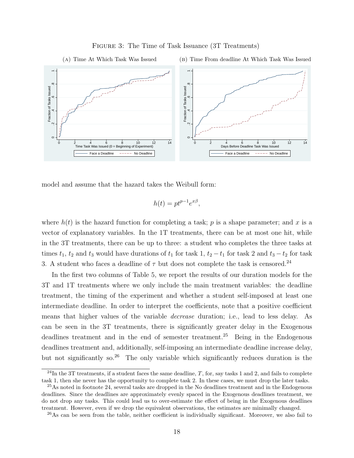<span id="page-18-0"></span>



model and assume that the hazard takes the Weibull form:

$$
h(t) = pt^{p-1}e^{x\beta},
$$

where  $h(t)$  is the hazard function for completing a task; p is a shape parameter; and x is a vector of explanatory variables. In the 1T treatments, there can be at most one hit, while in the 3T treatments, there can be up to three: a student who completes the three tasks at times  $t_1$ ,  $t_2$  and  $t_3$  would have durations of  $t_1$  for task 1,  $t_2 - t_1$  for task 2 and  $t_3 - t_2$  for task 3. A student who faces a deadline of  $\tau$  but does not complete the task is censored.<sup>[24](#page-18-1)</sup>

In the first two columns of Table [5,](#page-19-0) we report the results of our duration models for the 3T and 1T treatments where we only include the main treatment variables: the deadline treatment, the timing of the experiment and whether a student self-imposed at least one intermediate deadline. In order to interpret the coefficients, note that a positive coefficient means that higher values of the variable decrease duration; i.e., lead to less delay. As can be seen in the 3T treatments, there is significantly greater delay in the Exogenous deadlines treatment and in the end of semester treatment.<sup>[25](#page-18-2)</sup> Being in the Endogenous deadlines treatment and, additionally, self-imposing an intermediate deadline increase delay, but not significantly so.[26](#page-18-3) The only variable which significantly reduces duration is the

<span id="page-18-1"></span><sup>&</sup>lt;sup>24</sup>In the 3T treatments, if a student faces the same deadline,  $T$ , for, say tasks 1 and 2, and fails to complete task 1, then she never has the opportunity to complete task 2. In these cases, we must drop the later tasks.

<span id="page-18-2"></span><sup>&</sup>lt;sup>25</sup>As noted in footnote [24,](#page-18-1) several tasks are dropped in the No deadlines treatment and in the Endogenous deadlines. Since the deadlines are approximately evenly spaced in the Exogenous deadlines treatment, we do not drop any tasks. This could lead us to over-estimate the effect of being in the Exogenous deadlines treatment. However, even if we drop the equivalent observations, the estimates are minimally changed.

<span id="page-18-3"></span><sup>&</sup>lt;sup>26</sup>As can be seen from the table, neither coefficient is individually significant. Moreover, we also fail to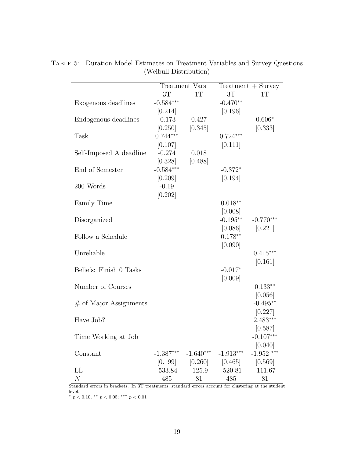|                          |             | Treatment Vars |                 | $Treatment + Survey$ |
|--------------------------|-------------|----------------|-----------------|----------------------|
|                          | 3T          | 1T             | $\overline{3T}$ | 1T                   |
| Exogenous deadlines      | $-0.584***$ |                | $-0.470**$      |                      |
|                          | [0.214]     |                | [0.196]         |                      |
| Endogenous deadlines     | $-0.173$    | 0.427          |                 | $0.606*$             |
|                          | [0.250]     | [0.345]        |                 | [0.333]              |
| <b>Task</b>              | $0.744***$  |                | $0.724***$      |                      |
|                          | [0.107]     |                | [0.111]         |                      |
| Self-Imposed A deadline  | $-0.274$    | 0.018          |                 |                      |
|                          | [0.328]     | [0.488]        |                 |                      |
| End of Semester          | $-0.584***$ |                | $-0.372*$       |                      |
|                          | [0.209]     |                | [0.194]         |                      |
| 200 Words                | $-0.19$     |                |                 |                      |
|                          | [0.202]     |                |                 |                      |
| <b>Family Time</b>       |             |                | $0.018**$       |                      |
|                          |             |                | [0.008]         |                      |
| Disorganized             |             |                | $-0.195**$      | $-0.770***$          |
|                          |             |                | [0.086]         | [0.221]              |
| Follow a Schedule        |             |                | $0.178**$       |                      |
|                          |             |                | [0.090]         |                      |
| Unreliable               |             |                |                 | $0.415***$           |
|                          |             |                |                 | [0.161]              |
| Beliefs: Finish 0 Tasks  |             |                | $-0.017*$       |                      |
|                          |             |                | [0.009]         |                      |
| Number of Courses        |             |                |                 | $0.133**$            |
|                          |             |                |                 | [0.056]              |
| $#$ of Major Assignments |             |                |                 | $-0.495**$           |
|                          |             |                |                 | [0.227]              |
| Have Job?                |             |                |                 | $2.483***$           |
|                          |             |                |                 | [0.587]              |
| Time Working at Job      |             |                |                 | $-0.107***$          |
|                          |             |                |                 | [0.040]              |
| Constant                 | $-1.387***$ | $-1.640***$    | $-1.913***$     | $-1.952$ ***         |
|                          | [0.199]     | $[0.260]$      | [0.465]         | [0.569]              |
| LL                       | $-533.84$   | $-125.9$       | $-520.81$       | $-111.67$            |
| $\cal N$                 | 485         | 81             | 485             | 81                   |

<span id="page-19-0"></span>Table 5: Duration Model Estimates on Treatment Variables and Survey Questions (Weibull Distribution)

Standard errors in brackets. In 3T treatments, standard errors account for clustering at the student level.

\*  $p < 0.10$ ; \*\*  $p < 0.05$ ; \*\*\*  $p < 0.01$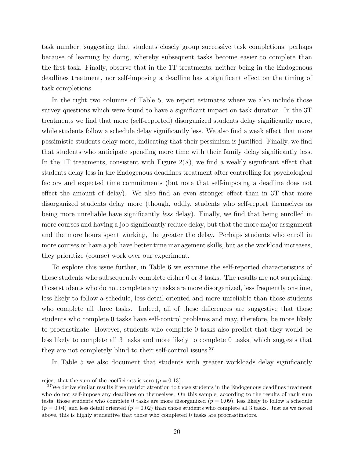task number, suggesting that students closely group successive task completions, perhaps because of learning by doing, whereby subsequent tasks become easier to complete than the first task. Finally, observe that in the 1T treatments, neither being in the Endogenous deadlines treatment, nor self-imposing a deadline has a significant effect on the timing of task completions.

In the right two columns of Table [5,](#page-19-0) we report estimates where we also include those survey questions which were found to have a significant impact on task duration. In the 3T treatments we find that more (self-reported) disorganized students delay significantly more, while students follow a schedule delay significantly less. We also find a weak effect that more pessimistic students delay more, indicating that their pessimism is justified. Finally, we find that students who anticipate spending more time with their family delay significantly less. In the 1T treatments, consistent with Figure  $2(A)$ , we find a weakly significant effect that students delay less in the Endogenous deadlines treatment after controlling for psychological factors and expected time commitments (but note that self-imposing a deadline does not effect the amount of delay). We also find an even stronger effect than in 3T that more disorganized students delay more (though, oddly, students who self-report themselves as being more unreliable have significantly *less* delay). Finally, we find that being enrolled in more courses and having a job significantly reduce delay, but that the more major assignment and the more hours spent working, the greater the delay. Perhaps students who enroll in more courses or have a job have better time management skills, but as the workload increases, they prioritize (course) work over our experiment.

To explore this issue further, in Table [6](#page-21-0) we examine the self-reported characteristics of those students who subsequently complete either 0 or 3 tasks. The results are not surprising: those students who do not complete any tasks are more disorganized, less frequently on-time, less likely to follow a schedule, less detail-oriented and more unreliable than those students who complete all three tasks. Indeed, all of these differences are suggestive that those students who complete 0 tasks have self-control problems and may, therefore, be more likely to procrastinate. However, students who complete 0 tasks also predict that they would be less likely to complete all 3 tasks and more likely to complete 0 tasks, which suggests that they are not completely blind to their self-control issues.<sup>[27](#page-20-0)</sup>

In Table [5](#page-19-0) we also document that students with greater workloads delay significantly

reject that the sum of the coefficients is zero  $(p = 0.13)$ .

<span id="page-20-0"></span> $27$ We derive similar results if we restrict attention to those students in the Endogenous deadlines treatment who do not self-impose any deadlines on themselves. On this sample, according to the results of rank sum tests, those students who complete 0 tasks are more disorganized  $(p = 0.09)$ , less likely to follow a schedule  $(p = 0.04)$  and less detail oriented  $(p = 0.02)$  than those students who complete all 3 tasks. Just as we noted above, this is highly studentive that those who completed 0 tasks are procrastinators.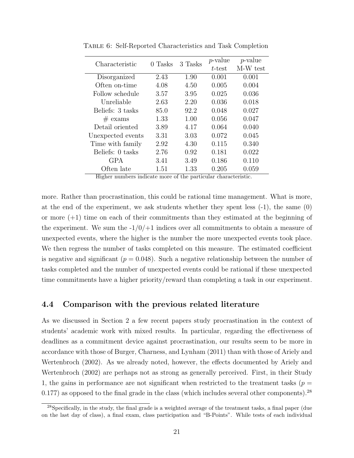| Characteristic    | 0 Tasks | 3 Tasks | $p$ -value | $p$ -value |
|-------------------|---------|---------|------------|------------|
|                   |         |         | t-test     | M-W test   |
| Disorganized      | 2.43    | 1.90    | 0.001      | 0.001      |
| Often on-time     | 4.08    | 4.50    | 0.005      | 0.004      |
| Follow schedule   | 3.57    | 3.95    | 0.025      | 0.036      |
| Unreliable        | 2.63    | 2.20    | 0.036      | 0.018      |
| Beliefs: 3 tasks  | 85.0    | 92.2    | 0.048      | 0.027      |
| $#$ exams         | 1.33    | 1.00    | 0.056      | 0.047      |
| Detail oriented   | 3.89    | 4.17    | 0.064      | 0.040      |
| Unexpected events | 3.31    | 3.03    | 0.072      | 0.045      |
| Time with family  | 2.92    | 4.30    | 0.115      | 0.340      |
| Beliefs: 0 tasks  | 2.76    | 0.92    | 0.181      | 0.022      |
| <b>GPA</b>        | 3.41    | 3.49    | 0.186      | 0.110      |
| Often late        | 1.51    | 1.33    | 0.205      | 0.059      |
|                   |         |         |            |            |

<span id="page-21-0"></span>Table 6: Self-Reported Characteristics and Task Completion

Higher numbers indicate more of the particular characteristic.

more. Rather than procrastination, this could be rational time management. What is more, at the end of the experiment, we ask students whether they spent less  $(-1)$ , the same  $(0)$ or more  $(+1)$  time on each of their commitments than they estimated at the beginning of the experiment. We sum the  $-1/0/+1$  indices over all commitments to obtain a measure of unexpected events, where the higher is the number the more unexpected events took place. We then regress the number of tasks completed on this measure. The estimated coefficient is negative and significant ( $p = 0.048$ ). Such a negative relationship between the number of tasks completed and the number of unexpected events could be rational if these unexpected time commitments have a higher priority/reward than completing a task in our experiment.

#### 4.4 Comparison with the previous related literature

As we discussed in Section [2](#page-5-1) a few recent papers study procrastination in the context of students' academic work with mixed results. In particular, regarding the effectiveness of deadlines as a commitment device against procrastination, our results seem to be more in accordance with those of [Burger, Charness, and Lynham](#page-45-0) [\(2011\)](#page-45-0) than with those of [Ariely and](#page-44-0) [Wertenbroch](#page-44-0) [\(2002\)](#page-44-0). As we already noted, however, the effects documented by [Ariely and](#page-44-0) [Wertenbroch](#page-44-0) [\(2002\)](#page-44-0) are perhaps not as strong as generally perceived. First, in their Study 1, the gains in performance are not significant when restricted to the treatment tasks ( $p =$  $0.177$ ) as opposed to the final grade in the class (which includes several other components).<sup>[28](#page-21-1)</sup>

<span id="page-21-1"></span><sup>28</sup>Specifically, in the study, the final grade is a weighted average of the treatment tasks, a final paper (due on the last day of class), a final exam, class participation and "B-Points". While tests of each individual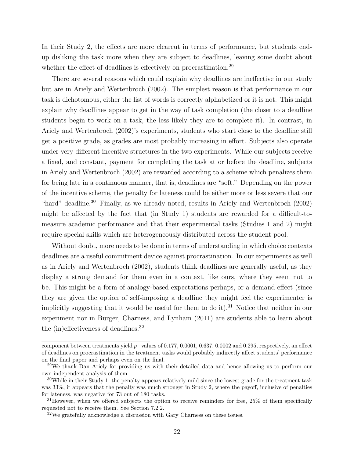In their Study 2, the effects are more clearcut in terms of performance, but students endup disliking the task more when they are subject to deadlines, leaving some doubt about whether the effect of deadlines is effectively on procrastination.<sup>[29](#page-22-0)</sup>

There are several reasons which could explain why deadlines are ineffective in our study but are in [Ariely and Wertenbroch](#page-44-0) [\(2002\)](#page-44-0). The simplest reason is that performance in our task is dichotomous, either the list of words is correctly alphabetized or it is not. This might explain why deadlines appear to get in the way of task completion (the closer to a deadline students begin to work on a task, the less likely they are to complete it). In contrast, in [Ariely and Wertenbroch](#page-44-0) [\(2002\)](#page-44-0)'s experiments, students who start close to the deadline still get a positive grade, as grades are most probably increasing in effort. Subjects also operate under very different incentive structures in the two experiments. While our subjects receive a fixed, and constant, payment for completing the task at or before the deadline, subjects in [Ariely and Wertenbroch](#page-44-0) [\(2002\)](#page-44-0) are rewarded according to a scheme which penalizes them for being late in a continuous manner, that is, deadlines are "soft." Depending on the power of the incentive scheme, the penalty for lateness could be either more or less severe that our "hard" deadline.<sup>[30](#page-22-1)</sup> Finally, as we already noted, results in [Ariely and Wertenbroch](#page-44-0) [\(2002\)](#page-44-0) might be affected by the fact that (in Study 1) students are rewarded for a difficult-tomeasure academic performance and that their experimental tasks (Studies 1 and 2) might require special skills which are heterogeneously distributed across the student pool.

Without doubt, more needs to be done in terms of understanding in which choice contexts deadlines are a useful commitment device against procrastination. In our experiments as well as in [Ariely and Wertenbroch](#page-44-0) [\(2002\)](#page-44-0), students think deadlines are generally useful, as they display a strong demand for them even in a context, like ours, where they seem not to be. This might be a form of analogy-based expectations perhaps, or a demand effect (since they are given the option of self-imposing a deadline they might feel the experimenter is implicitly suggesting that it would be useful for them to do it).<sup>[31](#page-22-2)</sup> Notice that neither in our experiment nor in [Burger, Charness, and Lynham](#page-45-0) [\(2011\)](#page-45-0) are students able to learn about the (in)effectiveness of deadlines.[32](#page-22-3)

component between treatments yield p−values of 0.177, 0.0001, 0.637, 0.0002 and 0.295, respectively, an effect of deadlines on procrastination in the treatment tasks would probably indirectly affect students' performance on the final paper and perhaps even on the final.

<span id="page-22-0"></span><sup>&</sup>lt;sup>29</sup>We thank Dan Ariely for providing us with their detailed data and hence allowing us to perform our own independent analysis of them.

<span id="page-22-1"></span> $30$ While in their Study 1, the penalty appears relatively mild since the lowest grade for the treatment task was 33%, it appears that the penalty was much stronger in Study 2, where the payoff, inclusive of penalties for lateness, was negative for 73 out of 180 tasks.

<span id="page-22-2"></span> $31$ However, when we offered subjects the option to receive reminders for free, 25% of them specifically requested not to receive them. See Section [7.2.2.](#page-42-0)

<span id="page-22-3"></span><sup>32</sup>We gratefully acknowledge a discussion with Gary Charness on these issues.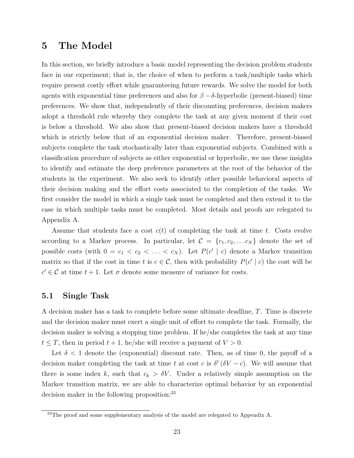## 5 The Model

In this section, we briefly introduce a basic model representing the decision problem students face in our experiment; that is, the choice of when to perform a task/multiple tasks which require present costly effort while guaranteeing future rewards. We solve the model for both agents with exponential time preferences and also for  $\beta - \delta$ -hyperbolic (present-biased) time preferences. We show that, independently of their discounting preferences, decision makers adopt a threshold rule whereby they complete the task at any given moment if their cost is below a threshold. We also show that present-biased decision makers have a threshold which is strictly below that of an exponential decision maker. Therefore, present-biased subjects complete the task stochastically later than exponential subjects. Combined with a classification procedure of subjects as either exponential or hyperbolic, we use these insights to identify and estimate the deep preference parameters at the root of the behavior of the students in the experiment. We also seek to identify other possible behavioral aspects of their decision making and the effort costs associated to the completion of the tasks. We first consider the model in which a single task must be completed and then extend it to the case in which multiple tasks must be completed. Most details and proofs are relegated to Appendix A.

Assume that students face a cost  $c(t)$  of completing the task at time t. Costs evolve according to a Markov process. In particular, let  $\mathcal{C} = \{c_1, c_2, \ldots c_N\}$  denote the set of possible costs (with  $0 = c_1 < c_2 < \ldots < c_N$ ). Let  $P(c' | c)$  denote a Markov transition matrix so that if the cost in time t is  $c \in \mathcal{C}$ , then with probability  $P(c' | c)$  the cost will be  $c' \in \mathcal{C}$  at time  $t + 1$ . Let  $\sigma$  denote some measure of variance for costs.

### 5.1 Single Task

A decision maker has a task to complete before some ultimate deadline, T. Time is discrete and the decision maker must exert a single unit of effort to complete the task. Formally, the decision maker is solving a stopping time problem. If he/she completes the task at any time  $t \leq T$ , then in period  $t + 1$ , he/she will receive a payment of  $V > 0$ .

Let  $\delta$  < 1 denote the (exponential) discount rate. Then, as of time 0, the payoff of a decision maker completing the task at time t at cost c is  $\delta^t (\delta V - c)$ . We will assume that there is some index k, such that  $c_k > \delta V$ . Under a relatively simple assumption on the Markov transition matrix, we are able to characterize optimal behavior by an exponential decision maker in the following proposition:<sup>[33](#page-23-0)</sup>

<span id="page-23-0"></span><sup>&</sup>lt;sup>33</sup>The proof and some supplementary analysis of the model are relegated to Appendix A.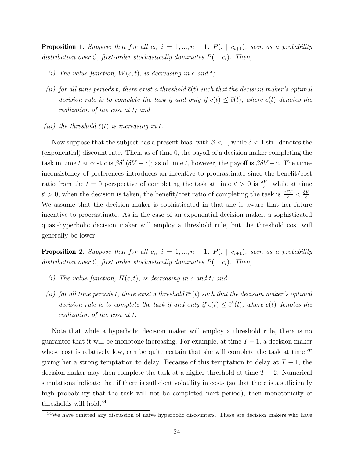<span id="page-24-1"></span>**Proposition 1.** Suppose that for all  $c_i$ ,  $i = 1, ..., n - 1$ ,  $P(.)$  |  $c_{i+1}$ ), seen as a probability distribution over C, first-order stochastically dominates  $P(.) | c_i$ . Then,

- (i) The value function,  $W(c, t)$ , is decreasing in c and t;
- (ii) for all time periods t, there exist a threshold  $\bar{c}(t)$  such that the decision maker's optimal decision rule is to complete the task if and only if  $c(t) \leq \overline{c}(t)$ , where  $c(t)$  denotes the realization of the cost at t; and
- (iii) the threshold  $\bar{c}(t)$  is increasing in t.

Now suppose that the subject has a present-bias, with  $\beta < 1$ , while  $\delta < 1$  still denotes the (exponential) discount rate. Then, as of time 0, the payoff of a decision maker completing the task in time t at cost c is  $\beta \delta^t (\delta V - c)$ ; as of time t, however, the payoff is  $\beta \delta V - c$ . The timeinconsistency of preferences introduces an incentive to procrastinate since the benefit/cost ratio from the  $t = 0$  perspective of completing the task at time  $t' > 0$  is  $\frac{\delta V}{c}$ , while at time  $t' > 0$ , when the decision is taken, the benefit/cost ratio of completing the task is  $\frac{\beta \delta V}{c} < \frac{\delta V}{c}$  $\frac{V}{c}$ . We assume that the decision maker is sophisticated in that she is aware that her future incentive to procrastinate. As in the case of an exponential decision maker, a sophisticated quasi-hyperbolic decision maker will employ a threshold rule, but the threshold cost will generally be lower.

**Proposition 2.** Suppose that for all  $c_i$ ,  $i = 1, ..., n - 1$ ,  $P(.)$  |  $c_{i+1}$ ), seen as a probability distribution over C, first order stochastically dominates  $P(.) | c_i$ . Then,

- (i) The value function,  $H(c, t)$ , is decreasing in c and t; and
- (ii) for all time periods t, there exist a threshold  $\bar{c}^h(t)$  such that the decision maker's optimal decision rule is to complete the task if and only if  $c(t) \leq \bar{c}^h(t)$ , where  $c(t)$  denotes the realization of the cost at t.

Note that while a hyperbolic decision maker will employ a threshold rule, there is no guarantee that it will be monotone increasing. For example, at time  $T-1$ , a decision maker whose cost is relatively low, can be quite certain that she will complete the task at time T giving her a strong temptation to delay. Because of this temptation to delay at  $T-1$ , the decision maker may then complete the task at a higher threshold at time  $T - 2$ . Numerical simulations indicate that if there is sufficient volatility in costs (so that there is a sufficiently high probability that the task will not be completed next period), then monotonicity of thresholds will hold.[34](#page-24-0)

<span id="page-24-0"></span> $34$ We have omitted any discussion of naive hyperbolic discounters. These are decision makers who have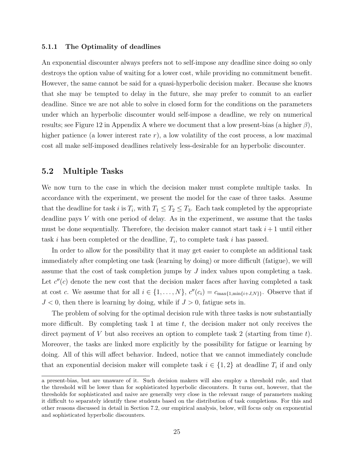#### 5.1.1 The Optimality of deadlines

An exponential discounter always prefers not to self-impose any deadline since doing so only destroys the option value of waiting for a lower cost, while providing no commitment benefit. However, the same cannot be said for a quasi-hyperbolic decision maker. Because she knows that she may be tempted to delay in the future, she may prefer to commit to an earlier deadline. Since we are not able to solve in closed form for the conditions on the parameters under which an hyperbolic discounter would self-impose a deadline, we rely on numerical results; see Figure [12](#page-54-0) in Appendix A where we document that a low present-bias (a higher  $\beta$ ), higher patience (a lower interest rate  $r$ ), a low volatility of the cost process, a low maximal cost all make self-imposed deadlines relatively less-desirable for an hyperbolic discounter.

### 5.2 Multiple Tasks

We now turn to the case in which the decision maker must complete multiple tasks. In accordance with the experiment, we present the model for the case of three tasks. Assume that the deadline for task i is  $T_i$ , with  $T_1 \leq T_2 \leq T_3$ . Each task completed by the appropriate deadline pays V with one period of delay. As in the experiment, we assume that the tasks must be done sequentially. Therefore, the decision maker cannot start task  $i + 1$  until either task i has been completed or the deadline,  $T_i$ , to complete task i has passed.

In order to allow for the possibility that it may get easier to complete an additional task immediately after completing one task (learning by doing) or more difficult (fatigue), we will assume that the cost of task completion jumps by J index values upon completing a task. Let  $c''(c)$  denote the new cost that the decision maker faces after having completed a task at cost c. We assume that for all  $i \in \{1, \ldots, N\}$ ,  $c''(c_i) = c_{\max\{1, \min\{i+J, N\}\}}$ . Observe that if  $J < 0$ , then there is learning by doing, while if  $J > 0$ , fatigue sets in.

The problem of solving for the optimal decision rule with three tasks is now substantially more difficult. By completing task 1 at time  $t$ , the decision maker not only receives the direct payment of V but also receives an option to complete task 2 (starting from time  $t$ ). Moreover, the tasks are linked more explicitly by the possibility for fatigue or learning by doing. All of this will affect behavior. Indeed, notice that we cannot immediately conclude that an exponential decision maker will complete task  $i \in \{1,2\}$  at deadline  $T_i$  if and only

a present-bias, but are unaware of it. Such decision makers will also employ a threshold rule, and that the threshold will be lower than for sophisticated hyperbolic discounters. It turns out, however, that the thresholds for sophisticated and naive are generally very close in the relevant range of parameters making it difficult to separately identify these students based on the distribution of task completions. For this and other reasons discussed in detail in Section [7.2,](#page-40-0) our empirical analysis, below, will focus only on exponential and sophisticated hyperbolic discounters.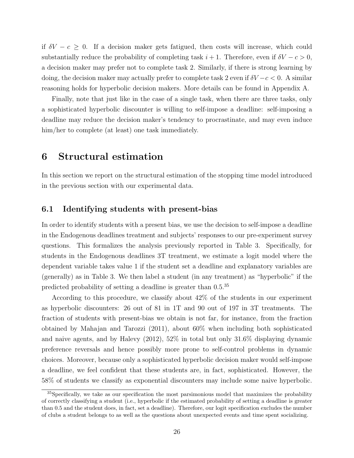if  $\delta V - c \geq 0$ . If a decision maker gets fatigued, then costs will increase, which could substantially reduce the probability of completing task  $i + 1$ . Therefore, even if  $\delta V - c > 0$ , a decision maker may prefer not to complete task 2. Similarly, if there is strong learning by doing, the decision maker may actually prefer to complete task 2 even if  $\delta V-c < 0$ . A similar reasoning holds for hyperbolic decision makers. More details can be found in Appendix A.

Finally, note that just like in the case of a single task, when there are three tasks, only a sophisticated hyperbolic discounter is willing to self-impose a deadline: self-imposing a deadline may reduce the decision maker's tendency to procrastinate, and may even induce him/her to complete (at least) one task immediately.

# 6 Structural estimation

In this section we report on the structural estimation of the stopping time model introduced in the previous section with our experimental data.

### 6.1 Identifying students with present-bias

In order to identify students with a present bias, we use the decision to self-impose a deadline in the Endogenous deadlines treatment and subjects' responses to our pre-experiment survey questions. This formalizes the analysis previously reported in Table [3.](#page-14-1) Specifically, for students in the Endogenous deadlines 3T treatment, we estimate a logit model where the dependent variable takes value 1 if the student set a deadline and explanatory variables are (generally) as in Table [3.](#page-14-1) We then label a student (in any treatment) as "hyperbolic" if the predicted probability of setting a deadline is greater than 0.5.[35](#page-26-0)

According to this procedure, we classify about 42% of the students in our experiment as hyperbolic discounters: 26 out of 81 in 1T and 90 out of 197 in 3T treatments. The fraction of students with present-bias we obtain is not far, for instance, from the fraction obtained by [Mahajan and Tarozzi](#page-47-11) [\(2011\)](#page-47-11), about 60% when including both sophisticated and naive agents, and by [Halevy](#page-46-6) [\(2012\)](#page-46-6), 52% in total but only 31.6% displaying dynamic preference reversals and hence possibly more prone to self-control problems in dynamic choices. Moreover, because only a sophisticated hyperbolic decision maker would self-impose a deadline, we feel confident that these students are, in fact, sophisticated. However, the 58% of students we classify as exponential discounters may include some naive hyperbolic.

<span id="page-26-0"></span><sup>&</sup>lt;sup>35</sup>Specifically, we take as our specification the most parsimonious model that maximizes the probability of correctly classifying a student (i.e., hyperbolic if the estimated probability of setting a deadline is greater than 0.5 and the student does, in fact, set a deadline). Therefore, our logit specification excludes the number of clubs a student belongs to as well as the questions about unexpected events and time spent socializing.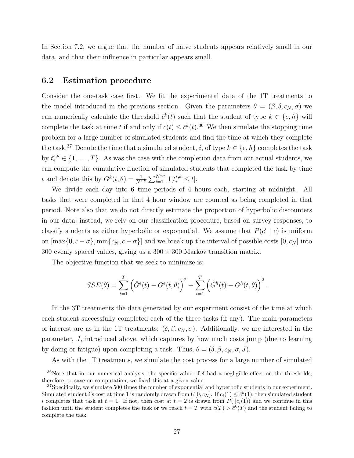In Section [7.2,](#page-40-0) we argue that the number of naive students appears relatively small in our data, and that their influence in particular appears small.

## 6.2 Estimation procedure

Consider the one-task case first. We fit the experimental data of the 1T treatments to the model introduced in the previous section. Given the parameters  $\theta = (\beta, \delta, c_N, \sigma)$  we can numerically calculate the threshold  $\bar{c}^k(t)$  such that the student of type  $k \in \{e, h\}$  will complete the task at time t if and only if  $c(t) \leq \bar{c}^k(t)$ .<sup>[36](#page-27-0)</sup> We then simulate the stopping time problem for a large number of simulated students and find the time at which they complete the task.<sup>[37](#page-27-1)</sup> Denote the time that a simulated student, *i*, of type  $k \in \{e, h\}$  completes the task by  $t_i^{s,k} \in \{1, \ldots, T\}$ . As was the case with the completion data from our actual students, we can compute the cumulative fraction of simulated students that completed the task by time t and denote this by  $G^k(t, \theta) = \frac{1}{N^{s,k}} \sum_{i=1}^{N^{s,k}} \mathbf{1}[t_i^{s,k} \leq t].$ 

We divide each day into 6 time periods of 4 hours each, starting at midnight. All tasks that were completed in that 4 hour window are counted as being completed in that period. Note also that we do not directly estimate the proportion of hyperbolic discounters in our data; instead, we rely on our classification procedure, based on survey responses, to classify students as either hyperbolic or exponential. We assume that  $P(c' | c)$  is uniform on  $[\max\{0, c - \sigma\}, \min\{c_N, c + \sigma\}]$  and we break up the interval of possible costs  $[0, c_N]$  into 300 evenly spaced values, giving us a  $300 \times 300$  Markov transition matrix.

The objective function that we seek to minimize is:

$$
SSE(\theta) = \sum_{t=1}^{T} (\hat{G}^{e}(t) - G^{e}(t, \theta))^{2} + \sum_{t=1}^{T} (\hat{G}^{h}(t) - G^{h}(t, \theta))^{2}.
$$

In the 3T treatments the data generated by our experiment consist of the time at which each student successfully completed each of the three tasks (if any). The main parameters of interest are as in the 1T treatments:  $(\delta, \beta, c_N, \sigma)$ . Additionally, we are interested in the parameter, J, introduced above, which captures by how much costs jump (due to learning by doing or fatigue) upon completing a task. Thus,  $\theta = (\delta, \beta, c_N, \sigma, J)$ .

As with the 1T treatments, we simulate the cost process for a large number of simulated

<span id="page-27-0"></span><sup>&</sup>lt;sup>36</sup>Note that in our numerical analysis, the specific value of  $\delta$  had a negligible effect on the thresholds; therefore, to save on computation, we fixed this at a given value.

<span id="page-27-1"></span> $37$ Specifically, we simulate 500 times the number of exponential and hyperbolic students in our experiment. Simulated student *i*'s cost at time 1 is randomly drawn from  $U[0, c_N]$ . If  $c_i(1) \leq \bar{c}^k(1)$ , then simulated student i completes that task at  $t = 1$ . If not, then cost at  $t = 2$  is drawn from  $P(\cdot | c_i(1))$  and we continue in this fashion until the student completes the task or we reach  $t = T$  with  $c(T) > \bar{c}^k(T)$  and the student failing to complete the task.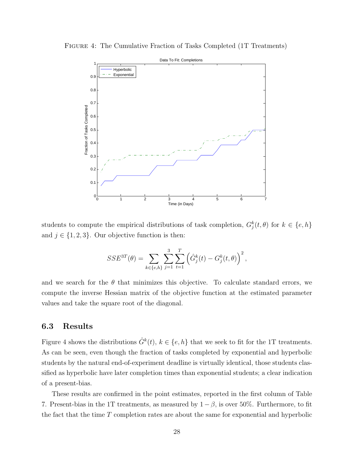<span id="page-28-0"></span>FIGURE 4: The Cumulative Fraction of Tasks Completed (1T Treatments)



students to compute the empirical distributions of task completion,  $G_j^k(t, \theta)$  for  $k \in \{e, h\}$ and  $j \in \{1, 2, 3\}$ . Our objective function is then:

$$
SSE^{3T}(\theta) = \sum_{k \in \{e, h\}} \sum_{j=1}^{3} \sum_{t=1}^{T} (\hat{G}_j^k(t) - G_j^k(t, \theta))^{2},
$$

and we search for the  $\theta$  that minimizes this objective. To calculate standard errors, we compute the inverse Hessian matrix of the objective function at the estimated parameter values and take the square root of the diagonal.

#### 6.3 Results

Figure [4](#page-28-0) shows the distributions  $\hat{G}^k(t)$ ,  $k \in \{e, h\}$  that we seek to fit for the 1T treatments. As can be seen, even though the fraction of tasks completed by exponential and hyperbolic students by the natural end-of-experiment deadline is virtually identical, those students classified as hyperbolic have later completion times than exponential students; a clear indication of a present-bias.

These results are confirmed in the point estimates, reported in the first column of Table [7.](#page-30-0) Present-bias in the 1T treatments, as measured by  $1 - \beta$ , is over 50%. Furthermore, to fit the fact that the time  $T$  completion rates are about the same for exponential and hyperbolic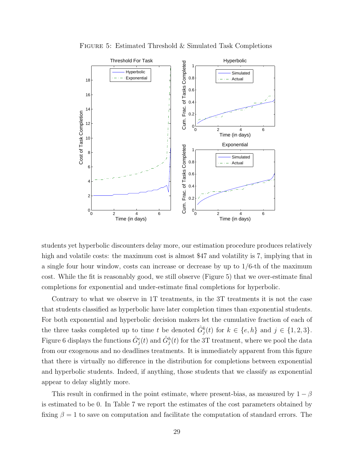<span id="page-29-0"></span>

FIGURE 5: Estimated Threshold & Simulated Task Completions

students yet hyperbolic discounters delay more, our estimation procedure produces relatively high and volatile costs: the maximum cost is almost \$47 and volatility is 7, implying that in a single four hour window, costs can increase or decrease by up to  $1/6$ -th of the maximum cost. While the fit is reasonably good, we still observe (Figure [5\)](#page-29-0) that we over-estimate final completions for exponential and under-estimate final completions for hyperbolic.

Contrary to what we observe in 1T treatments, in the 3T treatments it is not the case that students classified as hyperbolic have later completion times than exponential students. For both exponential and hyperbolic decision makers let the cumulative fraction of each of the three tasks completed up to time t be denoted  $\hat{G}_j^k(t)$  for  $k \in \{e, h\}$  and  $j \in \{1, 2, 3\}$ . Figure [6](#page-30-1) displays the functions  $\hat{G}_j^e(t)$  and  $\hat{G}_j^h(t)$  for the 3T treatment, where we pool the data from our exogenous and no deadlines treatments. It is immediately apparent from this figure that there is virtually no difference in the distribution for completions between exponential and hyperbolic students. Indeed, if anything, those students that we classify as exponential appear to delay slightly more.

This result in confirmed in the point estimate, where present-bias, as measured by  $1 - \beta$ is estimated to be 0. In Table [7](#page-30-0) we report the estimates of the cost parameters obtained by fixing  $\beta = 1$  to save on computation and facilitate the computation of standard errors. The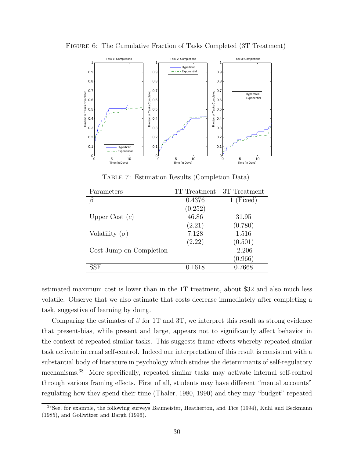

<span id="page-30-1"></span>Figure 6: The Cumulative Fraction of Tasks Completed (3T Treatment)

Table 7: Estimation Results (Completion Data)

<span id="page-30-0"></span>

| Parameters                  | 1T Treatment | 3T Treatment |
|-----------------------------|--------------|--------------|
| ß                           | 0.4376       | $1$ (Fixed)  |
|                             | (0.252)      |              |
| Upper Cost $(\overline{c})$ | 46.86        | 31.95        |
|                             | (2.21)       | (0.780)      |
| Volatility $(\sigma)$       | 7.128        | 1.516        |
|                             | (2.22)       | (0.501)      |
| Cost Jump on Completion     |              | $-2.206$     |
|                             |              | (0.966)      |
| SSE                         | 0.1618       | 0.7668       |

estimated maximum cost is lower than in the 1T treatment, about \$32 and also much less volatile. Observe that we also estimate that costs decrease immediately after completing a task, suggestive of learning by doing.

Comparing the estimates of  $\beta$  for 1T and 3T, we interpret this result as strong evidence that present-bias, while present and large, appears not to significantly affect behavior in the context of repeated similar tasks. This suggests frame effects whereby repeated similar task activate internal self-control. Indeed our interpretation of this result is consistent with a substantial body of literature in psychology which studies the determinants of self-regulatory mechanisms.[38](#page-30-2) More specifically, repeated similar tasks may activate internal self-control through various framing effects. First of all, students may have different "mental accounts" regulating how they spend their time [\(Thaler, 1980,](#page-48-6) [1990\)](#page-49-0) and they may "budget" repeated

<span id="page-30-2"></span><sup>38</sup>See, for example, the following surveys [Baumeister, Heatherton, and Tice](#page-44-1) [\(1994\)](#page-44-1), [Kuhl and Beckmann](#page-47-1) [\(1985\)](#page-47-1), and [Gollwitzer and Bargh](#page-46-1) [\(1996\)](#page-46-1).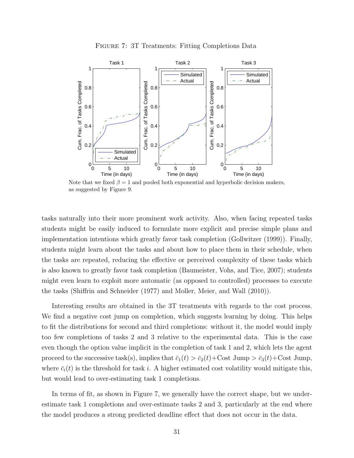

<span id="page-31-0"></span>

Note that we fixed  $\beta = 1$  and pooled both exponential and hyperbolic decision makers, as suggested by Figure [9.](#page-34-0)

tasks naturally into their more prominent work activity. Also, when facing repeated tasks students might be easily induced to formulate more explicit and precise simple plans and implementation intentions which greatly favor task completion [\(Gollwitzer](#page-46-2) [\(1999\)](#page-46-2)). Finally, students might learn about the tasks and about how to place them in their schedule, when the tasks are repeated, reducing the effective or perceived complexity of these tasks which is also known to greatly favor task completion [\(Baumeister, Vohs, and Tice, 2007\)](#page-44-13); students might even learn to exploit more automatic (as opposed to controlled) processes to execute the tasks [\(Shiffrin and Schneider](#page-48-13) [\(1977\)](#page-48-13) and [Moller, Meier, and Wall](#page-47-12) [\(2010\)](#page-47-12)).

Interesting results are obtained in the 3T treatments with regards to the cost process. We find a negative cost jump on completion, which suggests learning by doing. This helps to fit the distributions for second and third completions: without it, the model would imply too few completions of tasks 2 and 3 relative to the experimental data. This is the case even though the option value implicit in the completion of task 1 and 2, which lets the agent proceed to the successive task(s), implies that  $\bar{c}_1(t) > \bar{c}_2(t) + \text{Cost Jump}} > \bar{c}_3(t) + \text{Cost Jump}}$ , where  $\bar{c}_i(t)$  is the threshold for task i. A higher estimated cost volatility would mitigate this, but would lead to over-estimating task 1 completions.

In terms of fit, as shown in Figure [7,](#page-31-0) we generally have the correct shape, but we underestimate task 1 completions and over-estimate tasks 2 and 3, particularly at the end where the model produces a strong predicted deadline effect that does not occur in the data.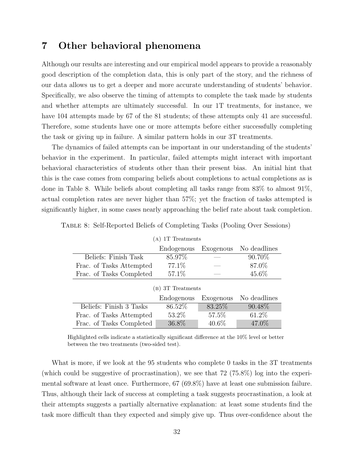# 7 Other behavioral phenomena

Although our results are interesting and our empirical model appears to provide a reasonably good description of the completion data, this is only part of the story, and the richness of our data allows us to get a deeper and more accurate understanding of students' behavior. Specifically, we also observe the timing of attempts to complete the task made by students and whether attempts are ultimately successful. In our 1T treatments, for instance, we have 104 attempts made by 67 of the 81 students; of these attempts only 41 are successful. Therefore, some students have one or more attempts before either successfully completing the task or giving up in failure. A similar pattern holds in our 3T treatments.

The dynamics of failed attempts can be important in our understanding of the students' behavior in the experiment. In particular, failed attempts might interact with important behavioral characteristics of students other than their present bias. An initial hint that this is the case comes from comparing beliefs about completions to actual completions as is done in Table [8.](#page-32-0) While beliefs about completing all tasks range from 83% to almost 91%, actual completion rates are never higher than 57%; yet the fraction of tasks attempted is significantly higher, in some cases nearly approaching the belief rate about task completion.

| (A) 1T Treatments        |                                         |           |              |  |  |  |  |
|--------------------------|-----------------------------------------|-----------|--------------|--|--|--|--|
|                          | No deadlines<br>Exogenous<br>Endogenous |           |              |  |  |  |  |
| Beliefs: Finish Task     | 85.97%                                  |           | 90.70\%      |  |  |  |  |
| Frac. of Tasks Attempted | 77.1\%                                  |           | 87.0%        |  |  |  |  |
| Frac. of Tasks Completed |                                         | 45.6%     |              |  |  |  |  |
|                          | (B) 3T Treatments                       |           |              |  |  |  |  |
|                          | Endogenous                              | Exogenous | No deadlines |  |  |  |  |
| Beliefs: Finish 3 Tasks  | 86.52\%                                 | 83.25%    | 90.48\%      |  |  |  |  |
| Frac. of Tasks Attempted | $53.2\%$                                | 57.5%     | 61.2%        |  |  |  |  |
| Frac. of Tasks Completed | 36.8%                                   | $40.6\%$  | 47.0%        |  |  |  |  |

<span id="page-32-0"></span>Table 8: Self-Reported Beliefs of Completing Tasks (Pooling Over Sessions)

Highlighted cells indicate a statistically significant difference at the 10% level or better between the two treatments (two-sided test).

What is more, if we look at the 95 students who complete 0 tasks in the 3T treatments (which could be suggestive of procrastination), we see that 72 (75.8%) log into the experimental software at least once. Furthermore, 67 (69.8%) have at least one submission failure. Thus, although their lack of success at completing a task suggests procrastination, a look at their attempts suggests a partially alternative explanation: at least some students find the task more difficult than they expected and simply give up. Thus over-confidence about the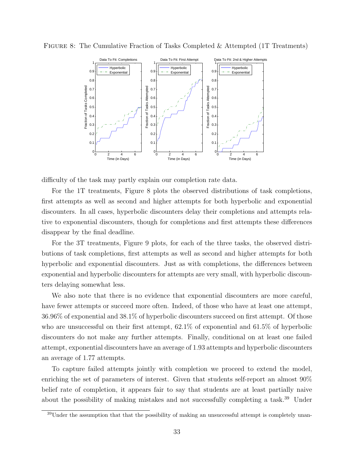

<span id="page-33-0"></span>FIGURE 8: The Cumulative Fraction of Tasks Completed & Attempted (1T Treatments)

difficulty of the task may partly explain our completion rate data.

For the 1T treatments, Figure [8](#page-33-0) plots the observed distributions of task completions, first attempts as well as second and higher attempts for both hyperbolic and exponential discounters. In all cases, hyperbolic discounters delay their completions and attempts relative to exponential discounters, though for completions and first attempts these differences disappear by the final deadline.

For the 3T treatments, Figure [9](#page-34-0) plots, for each of the three tasks, the observed distributions of task completions, first attempts as well as second and higher attempts for both hyperbolic and exponential discounters. Just as with completions, the differences between exponential and hyperbolic discounters for attempts are very small, with hyperbolic discounters delaying somewhat less.

We also note that there is no evidence that exponential discounters are more careful, have fewer attempts or succeed more often. Indeed, of those who have at least one attempt, 36.96% of exponential and 38.1% of hyperbolic discounters succeed on first attempt. Of those who are unsuccessful on their first attempt,  $62.1\%$  of exponential and  $61.5\%$  of hyperbolic discounters do not make any further attempts. Finally, conditional on at least one failed attempt, exponential discounters have an average of 1.93 attempts and hyperbolic discounters an average of 1.77 attempts.

To capture failed attempts jointly with completion we proceed to extend the model, enriching the set of parameters of interest. Given that students self-report an almost 90% belief rate of completion, it appears fair to say that students are at least partially naive about the possibility of making mistakes and not successfully completing a task.[39](#page-33-1) Under

<span id="page-33-1"></span> $39$ Under the assumption that that the possibility of making an unsuccessful attempt is completely unan-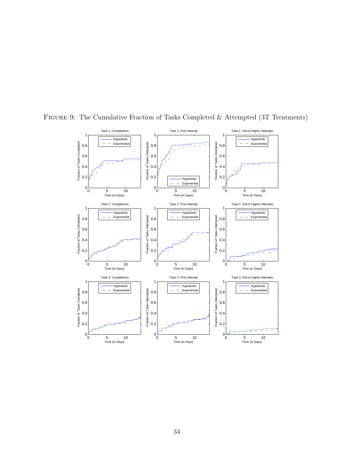

<span id="page-34-0"></span>Figure 9: The Cumulative Fraction of Tasks Completed & Attempted (3T Treatments)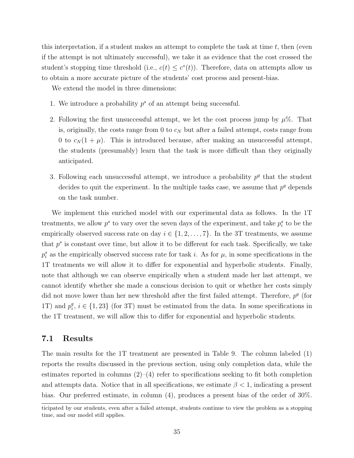this interpretation, if a student makes an attempt to complete the task at time  $t$ , then (even if the attempt is not ultimately successful), we take it as evidence that the cost crossed the student's stopping time threshold (i.e.,  $c(t) \leq c^*(t)$ ). Therefore, data on attempts allow us to obtain a more accurate picture of the students' cost process and present-bias.

We extend the model in three dimensions:

- 1. We introduce a probability  $p^s$  of an attempt being successful.
- 2. Following the first unsuccessful attempt, we let the cost process jump by  $\mu\%$ . That is, originally, the costs range from 0 to  $c_N$  but after a failed attempt, costs range from 0 to  $c_N(1 + \mu)$ . This is introduced because, after making an unsuccessful attempt, the students (presumably) learn that the task is more difficult than they originally anticipated.
- 3. Following each unsuccessful attempt, we introduce a probability  $p<sup>q</sup>$  that the student decides to quit the experiment. In the multiple tasks case, we assume that  $p<sup>q</sup>$  depends on the task number.

We implement this enriched model with our experimental data as follows. In the 1T treatments, we allow  $p^s$  to vary over the seven days of the experiment, and take  $p_i^s$  to be the empirically observed success rate on day  $i \in \{1, 2, ..., 7\}$ . In the 3T treatments, we assume that  $p^s$  is constant over time, but allow it to be different for each task. Specifically, we take  $p_i^s$  as the empirically observed success rate for task *i*. As for  $\mu$ , in some specifications in the 1T treatments we will allow it to differ for exponential and hyperbolic students. Finally, note that although we can observe empirically when a student made her last attempt, we cannot identify whether she made a conscious decision to quit or whether her costs simply did not move lower than her new threshold after the first failed attempt. Therefore,  $p<sup>q</sup>$  (for 1T) and  $p_i^q$  $i, i \in \{1, 23\}$  (for 3T) must be estimated from the data. In some specifications in the 1T treatment, we will allow this to differ for exponential and hyperbolic students.

### 7.1 Results

The main results for the 1T treatment are presented in Table [9.](#page-37-0) The column labeled (1) reports the results discussed in the previous section, using only completion data, while the estimates reported in columns  $(2)$ – $(4)$  refer to specifications seeking to fit both completion and attempts data. Notice that in all specifications, we estimate  $\beta < 1$ , indicating a present bias. Our preferred estimate, in column (4), produces a present bias of the order of 30%.

ticipated by our students, even after a failed attempt, students continue to view the problem as a stopping time, and our model still applies.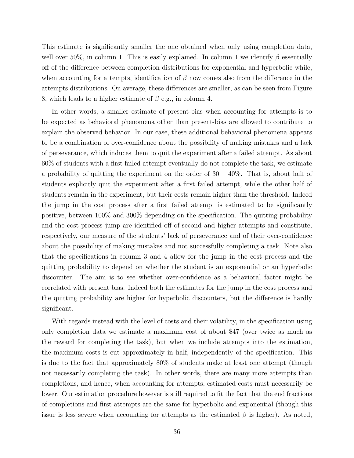This estimate is significantly smaller the one obtained when only using completion data, well over 50%, in column 1. This is easily explained. In column 1 we identify  $\beta$  essentially off of the difference between completion distributions for exponential and hyperbolic while, when accounting for attempts, identification of  $\beta$  now comes also from the difference in the attempts distributions. On average, these differences are smaller, as can be seen from Figure [8,](#page-33-0) which leads to a higher estimate of  $\beta$  e.g., in column 4.

In other words, a smaller estimate of present-bias when accounting for attempts is to be expected as behavioral phenomena other than present-bias are allowed to contribute to explain the observed behavior. In our case, these additional behavioral phenomena appears to be a combination of over-confidence about the possibility of making mistakes and a lack of perseverance, which induces them to quit the experiment after a failed attempt. As about 60% of students with a first failed attempt eventually do not complete the task, we estimate a probability of quitting the experiment on the order of  $30 - 40\%$ . That is, about half of students explicitly quit the experiment after a first failed attempt, while the other half of students remain in the experiment, but their costs remain higher than the threshold. Indeed the jump in the cost process after a first failed attempt is estimated to be significantly positive, between 100% and 300% depending on the specification. The quitting probability and the cost process jump are identified off of second and higher attempts and constitute, respectively, our measure of the students' lack of perseverance and of their over-confidence about the possibility of making mistakes and not successfully completing a task. Note also that the specifications in column 3 and 4 allow for the jump in the cost process and the quitting probability to depend on whether the student is an exponential or an hyperbolic discounter. The aim is to see whether over-confidence as a behavioral factor might be correlated with present bias. Indeed both the estimates for the jump in the cost process and the quitting probability are higher for hyperbolic discounters, but the difference is hardly significant.

With regards instead with the level of costs and their volatility, in the specification using only completion data we estimate a maximum cost of about \$47 (over twice as much as the reward for completing the task), but when we include attempts into the estimation, the maximum costs is cut approximately in half, independently of the specification. This is due to the fact that approximately 80% of students make at least one attempt (though not necessarily completing the task). In other words, there are many more attempts than completions, and hence, when accounting for attempts, estimated costs must necessarily be lower. Our estimation procedure however is still required to fit the fact that the end fractions of completions and first attempts are the same for hyperbolic and exponential (though this issue is less severe when accounting for attempts as the estimated  $\beta$  is higher). As noted,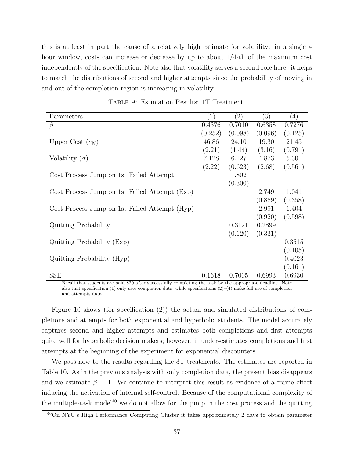this is at least in part the cause of a relatively high estimate for volatility: in a single 4 hour window, costs can increase or decrease by up to about 1/4-th of the maximum cost independently of the specification. Note also that volatility serves a second role here: it helps to match the distributions of second and higher attempts since the probability of moving in and out of the completion region is increasing in volatility.

<span id="page-37-0"></span>

| Parameters                                    | (1)     | $^{'}2)$ | (3)     | (4)     |
|-----------------------------------------------|---------|----------|---------|---------|
| $\beta$                                       | 0.4376  | 0.7010   | 0.6358  | 0.7276  |
|                                               | (0.252) | (0.098)  | (0.096) | (0.125) |
| Upper Cost $(c_N)$                            | 46.86   | 24.10    | 19.30   | 21.45   |
|                                               | (2.21)  | (1.44)   | (3.16)  | (0.791) |
| Volatility $(\sigma)$                         | 7.128   | 6.127    | 4.873   | 5.301   |
|                                               | (2.22)  | (0.623)  | (2.68)  | (0.561) |
| Cost Process Jump on 1st Failed Attempt       |         | 1.802    |         |         |
|                                               |         | (0.300)  |         |         |
| Cost Process Jump on 1st Failed Attempt (Exp) |         |          | 2.749   | 1.041   |
|                                               |         |          | (0.869) | (0.358) |
| Cost Process Jump on 1st Failed Attempt (Hyp) |         |          | 2.991   | 1.404   |
|                                               |         |          | (0.920) | (0.598) |
| <b>Quitting Probability</b>                   |         | 0.3121   | 0.2899  |         |
|                                               |         | (0.120)  | (0.331) |         |
| Quitting Probability (Exp)                    |         |          |         | 0.3515  |
|                                               |         |          |         | (0.105) |
| Quitting Probability (Hyp)                    |         |          |         | 0.4023  |
|                                               |         |          |         | (0.161) |
| <b>SSE</b>                                    | 0.1618  | 0.7005   | 0.6993  | 0.6930  |

Table 9: Estimation Results: 1T Treatment

Recall that students are paid \$20 after successfully completing the task by the appropriate deadline. Note also that specification (1) only uses completion data, while specifications  $(2)-(4)$  make full use of completion and attempts data.

Figure [10](#page-38-0) shows (for specification (2)) the actual and simulated distributions of completions and attempts for both exponential and hyperbolic students. The model accurately captures second and higher attempts and estimates both completions and first attempts quite well for hyperbolic decision makers; however, it under-estimates completions and first attempts at the beginning of the experiment for exponential discounters.

We pass now to the results regarding the 3T treatments. The estimates are reported in Table [10.](#page-39-0) As in the previous analysis with only completion data, the present bias disappears and we estimate  $\beta = 1$ . We continue to interpret this result as evidence of a frame effect inducing the activation of internal self-control. Because of the computational complexity of the multiple-task model<sup>[40](#page-37-1)</sup> we do not allow for the jump in the cost process and the quitting

<span id="page-37-1"></span><sup>40</sup>On NYU's High Performance Computing Cluster it takes approximately 2 days to obtain parameter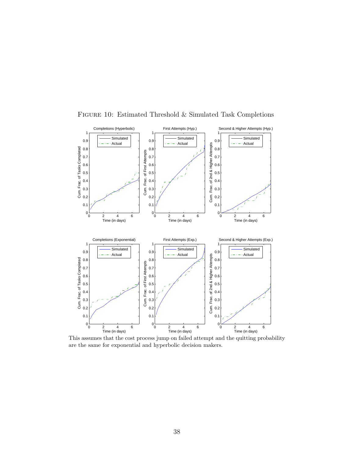

<span id="page-38-0"></span>Figure 10: Estimated Threshold & Simulated Task Completions

This assumes that the cost process jump on failed attempt and the quitting probability are the same for exponential and hyperbolic decision makers.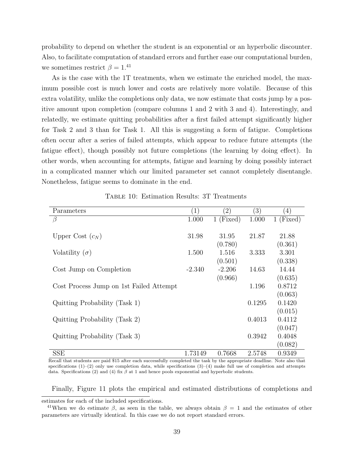probability to depend on whether the student is an exponential or an hyperbolic discounter. Also, to facilitate computation of standard errors and further ease our computational burden, we sometimes restrict  $\beta = 1.^{41}$  $\beta = 1.^{41}$  $\beta = 1.^{41}$ 

As is the case with the 1T treatments, when we estimate the enriched model, the maximum possible cost is much lower and costs are relatively more volatile. Because of this extra volatility, unlike the completions only data, we now estimate that costs jump by a positive amount upon completion (compare columns 1 and 2 with 3 and 4). Interestingly, and relatedly, we estimate quitting probabilities after a first failed attempt significantly higher for Task 2 and 3 than for Task 1. All this is suggesting a form of fatigue. Completions often occur after a series of failed attempts, which appear to reduce future attempts (the fatigue effect), though possibly not future completions (the learning by doing effect). In other words, when accounting for attempts, fatigue and learning by doing possibly interact in a complicated manner which our limited parameter set cannot completely disentangle. Nonetheless, fatigue seems to dominate in the end.

<span id="page-39-0"></span>

| Parameters                              | $\left  \right $ | $\left( 2\right)$ | $\left(3\right)$ | $\left(4\right)$ |
|-----------------------------------------|------------------|-------------------|------------------|------------------|
| $\beta$                                 | 1.000            | $1$ (Fixed)       | 1.000            | $1$ (Fixed)      |
|                                         |                  |                   |                  |                  |
| Upper Cost $(c_N)$                      | 31.98            | 31.95             | 21.87            | 21.88            |
|                                         |                  | (0.780)           |                  | (0.361)          |
| Volatility $(\sigma)$                   | 1.500            | 1.516             | 3.333            | 3.301            |
|                                         |                  | (0.501)           |                  | (0.338)          |
| Cost Jump on Completion                 | $-2.340$         | $-2.206$          | 14.63            | 14.44            |
|                                         |                  | (0.966)           |                  | (0.635)          |
| Cost Process Jump on 1st Failed Attempt |                  |                   | 1.196            | 0.8712           |
|                                         |                  |                   |                  | (0.063)          |
| Quitting Probability (Task 1)           |                  |                   | 0.1295           | 0.1420           |
|                                         |                  |                   |                  | (0.015)          |
| Quitting Probability (Task 2)           |                  |                   | 0.4013           | 0.4112           |
|                                         |                  |                   |                  | (0.047)          |
| Quitting Probability (Task 3)           |                  |                   | 0.3942           | 0.4048           |
|                                         |                  |                   |                  | (0.082)          |
| SSE                                     | 1.73149          | 0.7668            | 2.5748           | 0.9349           |

Table 10: Estimation Results: 3T Treatments

Recall that students are paid \$15 after each successfully completed the task by the appropriate deadline. Note also that specifications  $(1)$ – $(2)$  only use completion data, while specifications  $(3)$ – $(4)$  make full use of completion and attempts data. Specifications (2) and (4) fix  $\beta$  at 1 and hence pools exponential and hyperbolic students.

Finally, Figure [11](#page-40-1) plots the empirical and estimated distributions of completions and

estimates for each of the included specifications.

<span id="page-39-1"></span><sup>&</sup>lt;sup>41</sup>When we do estimate  $\beta$ , as seen in the table, we always obtain  $\beta = 1$  and the estimates of other parameters are virtually identical. In this case we do not report standard errors.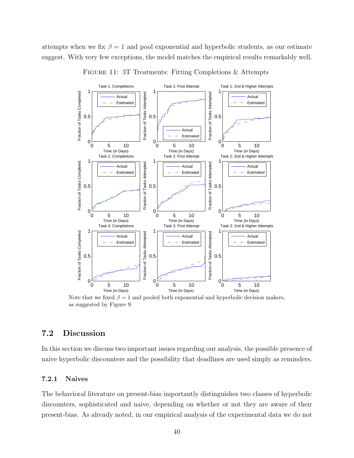<span id="page-40-1"></span>attempts when we fix  $\beta = 1$  and pool exponential and hyperbolic students, as our estimate suggest. With very few exceptions, the model matches the empirical results remarkably well.



FIGURE 11: 3T Treatments: Fitting Completions & Attempts

Note that we fixed  $\beta = 1$  and pooled both exponential and hyperbolic decision makers, as suggested by Figure [9.](#page-34-0)

## <span id="page-40-0"></span>7.2 Discussion

In this section we discuss two important issues regarding our analysis, the possible presence of naive hyperbolic discounters and the possibility that deadlines are used simply as reminders.

#### 7.2.1 Naives

The behavioral literature on present-bias importantly distinguishes two classes of hyperbolic discounters, sophisticated and naive, depending on whether or not they are aware of their present-bias. As already noted, in our empirical analysis of the experimental data we do not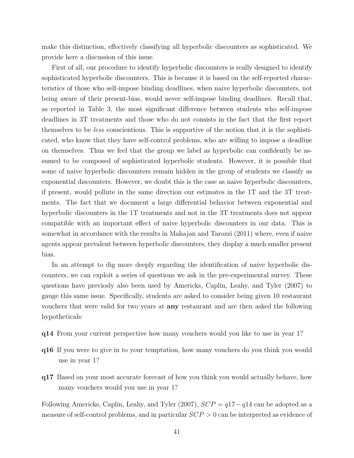make this distinction, effectively classifying all hyperbolic discounters as sophisticated. We provide here a discussion of this issue.

First of all, our procedure to identify hyperbolic discounters is really designed to identify sophisticated hyperbolic discounters. This is because it is based on the self-reported characteristics of those who self-impose binding deadlines, when naive hyperbolic discounters, not being aware of their present-bias, would never self-impose binding deadlines. Recall that, as reported in Table [3,](#page-14-1) the most significant difference between students who self-impose deadlines in 3T treatments and those who do not consists in the fact that the first report themselves to be less conscientious. This is supportive of the notion that it is the sophisticated, who know that they have self-control problems, who are willing to impose a deadline on themselves. Thus we feel that the group we label as hyperbolic can confidently be assumed to be composed of sophisticated hyperbolic students. However, it is possible that some of naive hyperbolic discounters remain hidden in the group of students we classify as exponential discounters. However, we doubt this is the case as naive hyperbolic discounters, if present, would pollute in the same direction our estimates in the 1T and the 3T treatments. The fact that we document a large differential behavior between exponential and hyperbolic discounters in the 1T treatments and not in the 3T treatments does not appear compatible with an important effect of naive hyperbolic discounters in our data. This is somewhat in accordance with the results in [Mahajan and Tarozzi](#page-47-11) [\(2011\)](#page-47-11) where, even if naive agents appear prevalent between hyperbolic discounters, they display a much smaller present bias.

In an attempt to dig more deeply regarding the identification of naive hyperbolic discounters, we can exploit a series of questions we ask in the pre-experimental survey. These questions have previosly also been used by [Americks, Caplin, Leahy, and Tyler](#page-44-12) [\(2007\)](#page-44-12) to gauge this same issue. Specifically, students are asked to consider being given 10 restaurant vouchers that were valid for two years at any restaurant and are then asked the following hypotheticals:

- q14 From your current perspective how many vouchers would you like to use in year 1?
- q16 If you were to give in to your temptation, how many vouchers do you think you would use in year 1?
- q17 Based on your most accurate forecast of how you think you would actually behave, how many vouchers would you use in year 1?

Following [Americks, Caplin, Leahy, and Tyler](#page-44-12) [\(2007\)](#page-44-12),  $SCP = q17 - q14$  can be adopted as a measure of self-control problems, and in particular SCP > 0 can be interpreted as evidence of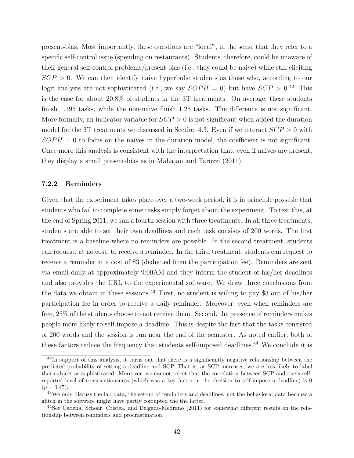present-bias. Most importantly, these questions are "local", in the sense that they refer to a specific self-control issue (spending on restaurants). Students, therefore, could be unaware of their general self-control problems/present bias (i.e., they could be naive) while still eliciting  $SCP > 0$ . We can then identify naive hyperbolic students as those who, according to our logit analysis are not sophisticated (i.e., we say  $SOPH = 0$ ) but have  $SCP > 0.42$  $SCP > 0.42$  This is the case for about 20.8% of students in the 3T treatments. On average, these students finish 1.195 tasks, while the non-naive finish 1.25 tasks. The difference is not significant. More formally, an indicator variable for  $SCP > 0$  is not significant when added the duration model for the 3T treatments we discussed in Section [4.3.](#page-17-2) Even if we interact  $SCP > 0$  with  $SOPH = 0$  to focus on the naives in the duration model, the coefficient is not significant. Once more this analysis is consistent with the interpretation that, even if naives are present, they display a small present-bias as in [Mahajan and Tarozzi](#page-47-11) [\(2011\)](#page-47-11).

#### <span id="page-42-0"></span>7.2.2 Reminders

Given that the experiment takes place over a two-week period, it is in principle possible that students who fail to complete some tasks simply forget about the experiment. To test this, at the end of Spring 2011, we ran a fourth session with three treatments. In all three treatments, students are able to set their own deadlines and each task consists of 200 words. The first treatment is a baseline where no reminders are possible. In the second treatment, students can request, at no cost, to receive a reminder. In the third treatment, students can request to receive a reminder at a cost of \$3 (deducted from the participation fee). Reminders are sent via email daily at approximately 9:00AM and they inform the student of his/her deadlines and also provides the URL to the experimental software. We draw three conclusions from the data we obtain in these sessions.<sup>[43](#page-42-2)</sup> First, no student is willing to pay \$3 out of his/her participation fee in order to receive a daily reminder. Moreover, even when reminders are free, 25% of the students choose to not receive them. Second, the presence of reminders makes people more likely to self-impose a deadline. This is despite the fact that the tasks consisted of 200 words and the session is run near the end of the semester. As noted earlier, both of these factors reduce the frequency that students self-imposed deadlines.<sup>[44](#page-42-3)</sup> We conclude it is

<span id="page-42-1"></span><sup>42</sup>In support of this analysis, it turns out that there is a significantly negative relationship between the predicted probability of setting a deadline and SCP. That is, as SCP increases, we are less likely to label that subject as sophisticated. Moreover, we cannot reject that the correlation between SCP and one's selfreported level of conscientiousness (which was a key factor in the decision to self-impose a deadline) is 0  $(p = 0.45).$ 

<span id="page-42-2"></span><sup>&</sup>lt;sup>43</sup>We only discuss the lab data, the set-up of reminders and deadlines, not the behavioral data because a glitch in the software might have partly corrupted the the latter.

<span id="page-42-3"></span><sup>44</sup>See [Cadena, Schoar, Cristea, and Delgado-Medrano](#page-45-13) [\(2011\)](#page-45-13) for somewhat different results on the relationship between reminders and procrastination.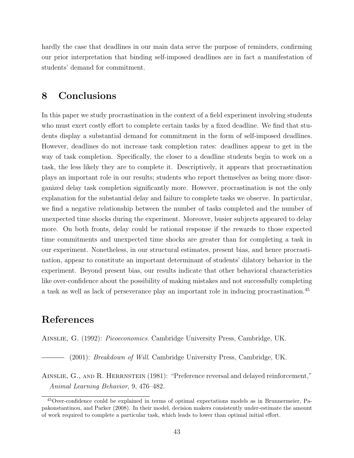hardly the case that deadlines in our main data serve the purpose of reminders, confirming our prior interpretation that binding self-imposed deadlines are in fact a manifestation of students' demand for commitment.

# 8 Conclusions

In this paper we study procrastination in the context of a field experiment involving students who must exert costly effort to complete certain tasks by a fixed deadline. We find that students display a substantial demand for commitment in the form of self-imposed deadlines. However, deadlines do not increase task completion rates: deadlines appear to get in the way of task completion. Specifically, the closer to a deadline students begin to work on a task, the less likely they are to complete it. Descriptively, it appears that procrastination plays an important role in our results; students who report themselves as being more disorganized delay task completion significantly more. However, procrastination is not the only explanation for the substantial delay and failure to complete tasks we observe. In particular, we find a negative relationship between the number of tasks completed and the number of unexpected time shocks during the experiment. Moreover, busier subjects appeared to delay more. On both fronts, delay could be rational response if the rewards to those expected time commitments and unexpected time shocks are greater than for completing a task in our experiment. Nonetheless, in our structural estimates, present bias, and hence procrastination, appear to constitute an important determinant of students' dilatory behavior in the experiment. Beyond present bias, our results indicate that other behavioral characteristics like over-confidence about the possibility of making mistakes and not successfully completing a task as well as lack of perseverance play an important role in inducing procrastination.[45](#page-43-3)

# References

<span id="page-43-2"></span><span id="page-43-1"></span>Ainslie, G. (1992): Picoeconomics. Cambridge University Press, Cambridge, UK.

- (2001): *Breakdown of Will.* Cambridge University Press, Cambridge, UK.

<span id="page-43-0"></span>AINSLIE, G., AND R. HERRNSTEIN (1981): "Preference reversal and delayed reinforcement," Animal Learning Behavior, 9, 476–482.

<span id="page-43-3"></span><sup>45</sup>Over-confidence could be explained in terms of optimal expectations models as in [Brunnermeier, Pa](#page-45-12)[pakonstantinou, and Parker](#page-45-12) [\(2008\)](#page-45-12). In their model, decision makers consistently under-estimate the amount of work required to complete a particular task, which leads to lower than optimal initial effort.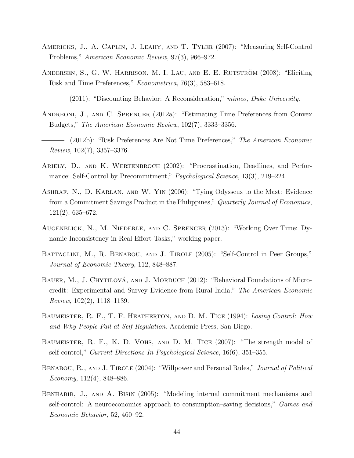- <span id="page-44-12"></span>Americks, J., A. Caplin, J. Leahy, and T. Tyler (2007): "Measuring Self-Control Problems," American Economic Review, 97(3), 966–972.
- <span id="page-44-8"></span><span id="page-44-7"></span>ANDERSEN, S., G. W. HARRISON, M. I. LAU, AND E. E. RUTSTRÖM (2008): "Eliciting Risk and Time Preferences," Econometrica, 76(3), 583–618.
	- $-$  (2011): "Discounting Behavior: A Reconsideration," mimeo, Duke University.
- <span id="page-44-5"></span>Andreoni, J., and C. Sprenger (2012a): "Estimating Time Preferences from Convex Budgets," The American Economic Review, 102(7), 3333–3356.
- <span id="page-44-6"></span>(2012b): "Risk Preferences Are Not Time Preferences," The American Economic Review, 102(7), 3357–3376.
- <span id="page-44-0"></span>ARIELY, D., AND K. WERTENBROCH (2002): "Procrastination, Deadlines, and Performance: Self-Control by Precommitment," Psychological Science, 13(3), 219–224.
- <span id="page-44-3"></span>Ashraf, N., D. Karlan, and W. Yin (2006): "Tying Odysseus to the Mast: Evidence from a Commitment Savings Product in the Philippines," Quarterly Journal of Economics, 121(2), 635–672.
- <span id="page-44-2"></span>Augenblick, N., M. Niederle, and C. Sprenger (2013): "Working Over Time: Dynamic Inconsistency in Real Effort Tasks," working paper.
- <span id="page-44-11"></span>BATTAGLINI, M., R. BENABOU, AND J. TIROLE (2005): "Self-Control in Peer Groups," Journal of Economic Theory, 112, 848–887.
- <span id="page-44-4"></span>BAUER, M., J. CHYTILOVÁ, AND J. MORDUCH (2012): "Behavioral Foundations of Microcredit: Experimental and Survey Evidence from Rural India," The American Economic Review, 102(2), 1118–1139.
- <span id="page-44-1"></span>BAUMEISTER, R. F., T. F. HEATHERTON, AND D. M. TICE (1994): Losing Control: How and Why People Fail at Self Regulation. Academic Press, San Diego.
- <span id="page-44-13"></span>Baumeister, R. F., K. D. Vohs, and D. M. Tice (2007): "The strength model of self-control," Current Directions In Psychological Science, 16(6), 351–355.
- <span id="page-44-9"></span>BENABOU, R., AND J. TIROLE (2004): "Willpower and Personal Rules," *Journal of Political* Economy,  $112(4)$ , 848–886.
- <span id="page-44-10"></span>BENHABIB, J., AND A. BISIN (2005): "Modeling internal commitment mechanisms and self-control: A neuroeconomics approach to consumption–saving decisions," Games and Economic Behavior, 52, 460–92.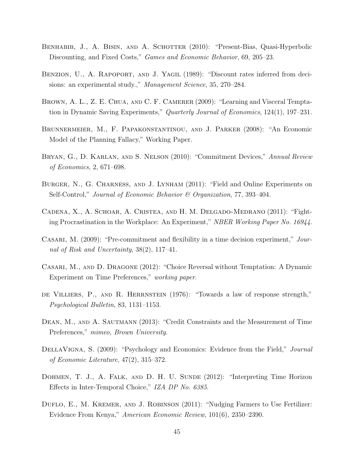- <span id="page-45-4"></span>BENHABIB, J., A. BISIN, AND A. SCHOTTER (2010): "Present-Bias, Quasi-Hyperbolic Discounting, and Fixed Costs," Games and Economic Behavior, 69, 205–23.
- <span id="page-45-1"></span>BENZION, U., A. RAPOPORT, AND J. YAGIL (1989): "Discount rates inferred from decisions: an experimental study.," Management Science, 35, 270–284.
- <span id="page-45-8"></span>BROWN, A. L., Z. E. CHUA, AND C. F. CAMERER (2009): "Learning and Visceral Temptation in Dynamic Saving Experiments," Quarterly Journal of Economics, 124(1), 197–231.
- <span id="page-45-12"></span>Brunnermeier, M., F. Papakonstantinou, and J. Parker (2008): "An Economic Model of the Planning Fallacy," Working Paper.
- <span id="page-45-11"></span>Bryan, G., D. Karlan, and S. Nelson (2010): "Commitment Devices," Annual Review of Economics, 2, 671–698.
- <span id="page-45-0"></span>Burger, N., G. Charness, and J. Lynham (2011): "Field and Online Experiments on Self-Control," Journal of Economic Behavior & Organization, 77, 393–404.
- <span id="page-45-13"></span>Cadena, X., A. Schoar, A. Cristea, and H. M. Delgado-Medrano (2011): "Fighting Procrastination in the Workplace: An Experiment," NBER Working Paper No. 16944.
- <span id="page-45-3"></span>CASARI, M. (2009): "Pre-commitment and flexibility in a time decision experiment," Journal of Risk and Uncertainty, 38(2), 117–41.
- <span id="page-45-7"></span>Casari, M., and D. Dragone (2012): "Choice Reversal without Temptation: A Dynamic Experiment on Time Preferences," working paper.
- <span id="page-45-2"></span>de Villiers, P., and R. Herrnstein (1976): "Towards a law of response strength," Psychological Bulletin, 83, 1131–1153.
- <span id="page-45-5"></span>DEAN, M., AND A. SAUTMANN (2013): "Credit Constraints and the Measurement of Time Preferences," mimeo, Brown University.
- <span id="page-45-9"></span>DELLAVIGNA, S. (2009): "Psychology and Economics: Evidence from the Field," Journal of Economic Literature, 47(2), 315–372.
- <span id="page-45-6"></span>DOHMEN, T. J., A. FALK, AND D. H. U. SUNDE (2012): "Interpreting Time Horizon Effects in Inter-Temporal Choice," IZA DP No. 6385.
- <span id="page-45-10"></span>DUFLO, E., M. KREMER, AND J. ROBINSON (2011): "Nudging Farmers to Use Fertilizer: Evidence From Kenya," American Economic Review, 101(6), 2350–2390.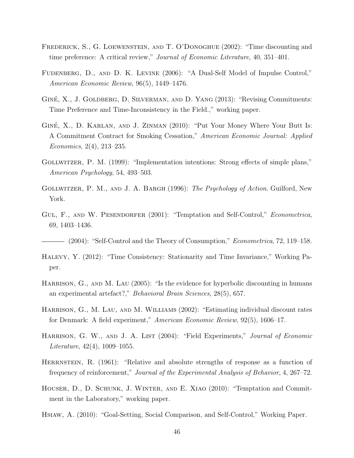- <span id="page-46-4"></span>Frederick, S., G. Loewenstein, and T. O'Donoghue (2002): "Time discounting and time preference: A critical review," Journal of Economic Literature, 40, 351–401.
- <span id="page-46-14"></span>Fudenberg, D., and D. K. Levine (2006): "A Dual-Self Model of Impulse Control," American Economic Review, 96(5), 1449–1476.
- <span id="page-46-7"></span>GINÉ, X., J. GOLDBERG, D. SILVERMAN, AND D. YANG (2013): "Revising Commitments: Time Preference and Time-Inconsistency in the Field.," working paper.
- <span id="page-46-11"></span>GINÉ, X., D. KARLAN, AND J. ZINMAN (2010): "Put Your Money Where Your Butt Is: A Commitment Contract for Smoking Cessation," American Economic Journal: Applied Economics, 2(4), 213–235.
- <span id="page-46-2"></span>Gollwitzer, P. M. (1999): "Implementation intentions: Strong effects of simple plans," American Psychology, 54, 493–503.
- <span id="page-46-1"></span>GOLLWITZER, P. M., AND J. A. BARGH (1996): The Psychology of Action. Guilford, New York.
- <span id="page-46-12"></span>GUL, F., AND W. PESENDORFER (2001): "Temptation and Self-Control," *Econometrica*, 69, 1403–1436.

<span id="page-46-13"></span> $-$  (2004): "Self-Control and the Theory of Consumption," *Econometrica*, 72, 119–158.

- <span id="page-46-6"></span>Halevy, Y. (2012): "Time Consistency: Stationarity and Time Invariance," Working Paper.
- <span id="page-46-8"></span>HARRISON, G., AND M. LAU (2005): "Is the evidence for hyperbolic discounting in humans an experimental artefact?," Behavioral Brain Sciences, 28(5), 657.
- <span id="page-46-9"></span>HARRISON, G., M. LAU, AND M. WILLIAMS (2002): "Estimating individual discount rates for Denmark: A field experiment," American Economic Review, 92(5), 1606–17.
- <span id="page-46-0"></span>HARRISON, G. W., AND J. A. LIST (2004): "Field Experiments," Journal of Economic Literature, 42(4), 1009–1055.
- <span id="page-46-3"></span>HERRNSTEIN, R. (1961): "Relative and absolute strengths of response as a function of frequency of reinforcement," Journal of the Experimental Analysis of Behavior, 4, 267–72.
- <span id="page-46-5"></span>Houser, D., D. Schunk, J. Winter, and E. Xiao (2010): "Temptation and Commitment in the Laboratory," working paper.
- <span id="page-46-10"></span>Hsiaw, A. (2010): "Goal-Setting, Social Comparison, and Self-Control," Working Paper.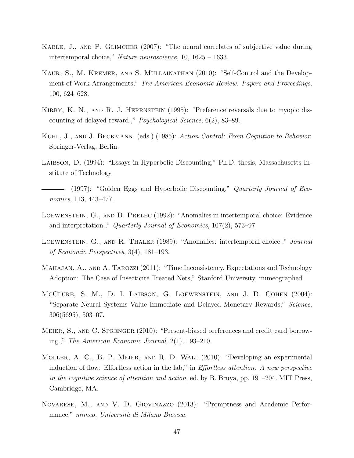- <span id="page-47-8"></span>Kable, J., and P. Glimcher (2007): "The neural correlates of subjective value during intertemporal choice," Nature neuroscience, 10, 1625 – 1633.
- <span id="page-47-10"></span>Kaur, S., M. Kremer, and S. Mullainathan (2010): "Self-Control and the Development of Work Arrangements," The American Economic Review: Papers and Proceedings, 100, 624–628.
- <span id="page-47-6"></span>KIRBY, K. N., AND R. J. HERRNSTEIN (1995): "Preference reversals due to myopic discounting of delayed reward.," Psychological Science, 6(2), 83–89.
- <span id="page-47-1"></span>Kuhl, J., and J. Beckmann (eds.) (1985): Action Control: From Cognition to Behavior. Springer-Verlag, Berlin.
- <span id="page-47-2"></span>LAIBSON, D. (1994): "Essays in Hyperbolic Discounting," Ph.D. thesis, Massachusetts Institute of Technology.
- <span id="page-47-3"></span>- (1997): "Golden Eggs and Hyperbolic Discounting," *Quarterly Journal of Eco*nomics, 113, 443–477.
- <span id="page-47-5"></span>Loewenstein, G., and D. Prelec (1992): "Anomalies in intertemporal choice: Evidence and interpretation.," Quarterly Journal of Economics, 107(2), 573–97.
- <span id="page-47-4"></span>Loewenstein, G., and R. Thaler (1989): "Anomalies: intertemporal choice.," Journal of Economic Perspectives, 3(4), 181–193.
- <span id="page-47-11"></span>MAHAJAN, A., AND A. TAROZZI (2011): "Time Inconsistency, Expectations and Technology Adoption: The Case of Insecticite Treated Nets," Stanford University, mimeographed.
- <span id="page-47-7"></span>McClure, S. M., D. I. Laibson, G. Loewenstein, and J. D. Cohen (2004): "Separate Neural Systems Value Immediate and Delayed Monetary Rewards," Science, 306(5695), 503–07.
- <span id="page-47-9"></span>Meier, S., and C. Sprenger (2010): "Present-biased preferences and credit card borrowing.," The American Economic Journal, 2(1), 193–210.
- <span id="page-47-12"></span>Moller, A. C., B. P. Meier, and R. D. Wall (2010): "Developing an experimental induction of flow: Effortless action in the lab," in Effortless attention: A new perspective in the cognitive science of attention and action, ed. by B. Bruya, pp. 191–204. MIT Press, Cambridge, MA.
- <span id="page-47-0"></span>Novarese, M., and V. D. Giovinazzo (2013): "Promptness and Academic Performance," mimeo, Università di Milano Bicocca.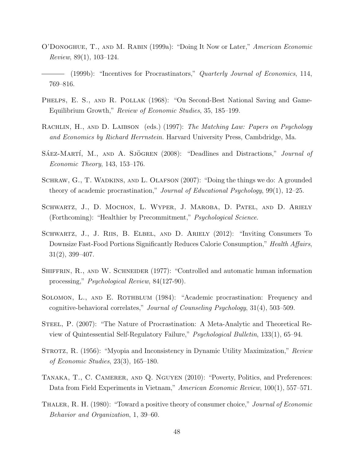- <span id="page-48-1"></span>O'Donoghue, T., and M. Rabin (1999a): "Doing It Now or Later," American Economic Review, 89(1), 103–124.
- <span id="page-48-5"></span>- (1999b): "Incentives for Procrastinators," *Quarterly Journal of Economics*, 114, 769–816.
- <span id="page-48-4"></span>PHELPS, E. S., AND R. POLLAK (1968): "On Second-Best National Saving and Game-Equilibrium Growth," Review of Economic Studies, 35, 185–199.
- <span id="page-48-8"></span>RACHLIN, H., AND D. LAIBSON (eds.) (1997): The Matching Law: Papers on Psychology and Economics by Richard Herrnstein. Harvard University Press, Cambdridge, Ma.
- <span id="page-48-10"></span> $S$ AEZ-MARTÍ, M., AND A. SJÖGREN  $(2008)$ : "Deadlines and Distractions," *Journal of* Economic Theory, 143, 153–176.
- <span id="page-48-0"></span>SCHRAW, G., T. WADKINS, AND L. OLAFSON (2007): "Doing the things we do: A grounded theory of academic procrastination," Journal of Educational Psychology, 99(1), 12–25.
- <span id="page-48-11"></span>SCHWARTZ, J., D. MOCHON, L. WYPER, J. MAROBA, D. PATEL, AND D. ARIELY (Forthcoming): "Healthier by Precommitment," Psychological Science.
- <span id="page-48-12"></span>Schwartz, J., J. Riis, B. Elbel, and D. Ariely (2012): "Inviting Consumers To Downsize Fast-Food Portions Significantly Reduces Calorie Consumption," Health Affairs, 31(2), 399–407.
- <span id="page-48-13"></span>SHIFFRIN, R., AND W. SCHNEIDER (1977): "Controlled and automatic human information processing," Psychological Review, 84(127-90).
- <span id="page-48-2"></span>SOLOMON, L., AND E. ROTHBLUM (1984): "Academic procrastination: Frequency and cognitive-behavioral correlates," Journal of Counseling Psychology, 31(4), 503–509.
- <span id="page-48-3"></span>STEEL, P. (2007): "The Nature of Procrastination: A Meta-Analytic and Theoretical Review of Quintessential Self-Regulatory Failure," Psychological Bulletin, 133(1), 65–94.
- <span id="page-48-7"></span>STROTZ, R. (1956): "Myopia and Inconsistency in Dynamic Utility Maximization," Review of Economic Studies, 23(3), 165–180.
- <span id="page-48-9"></span>Tanaka, T., C. Camerer, and Q. Nguyen (2010): "Poverty, Politics, and Preferences: Data from Field Experiments in Vietnam," American Economic Review, 100(1), 557–571.
- <span id="page-48-6"></span>THALER, R. H. (1980): "Toward a positive theory of consumer choice," *Journal of Economic* Behavior and Organization, 1, 39–60.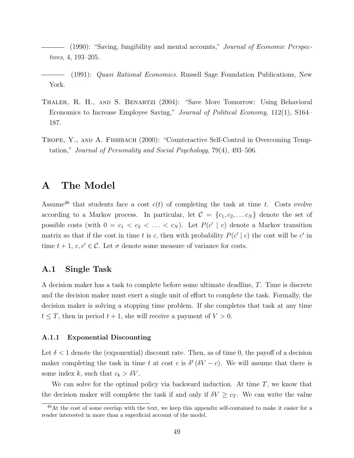- <span id="page-49-0"></span>(1990): "Saving, fungibility and mental accounts," Journal of Economic Perspectives, 4, 193–205.
- <span id="page-49-1"></span>(1991): Quasi Rational Economics. Russell Sage Foundation Publications, New York.
- <span id="page-49-3"></span>Thaler, R. H., and S. Benartzi (2004): "Save More Tomorrow: Using Behavioral Economics to Increase Employee Saving," Journal of Political Economy, 112(1), S164– 187.
- <span id="page-49-2"></span>Trope, Y., and A. Fishbach (2000): "Counteractive Self-Control in Overcoming Temptation," Journal of Personality and Social Psychology, 79(4), 493–506.

# A The Model

Assume<sup>[46](#page-49-4)</sup> that students face a cost  $c(t)$  of completing the task at time t. Costs evolve according to a Markov process. In particular, let  $\mathcal{C} = \{c_1, c_2, \ldots c_N\}$  denote the set of possible costs (with  $0 = c_1 < c_2 < \ldots < c_N$ ). Let  $P(c' | c)$  denote a Markov transition matrix so that if the cost in time t is c, then with probability  $P(c' | c)$  the cost will be c' in time  $t + 1$ ,  $c, c' \in \mathcal{C}$ . Let  $\sigma$  denote some measure of variance for costs.

### A.1 Single Task

A decision maker has a task to complete before some ultimate deadline, T. Time is discrete and the decision maker must exert a single unit of effort to complete the task. Formally, the decision maker is solving a stopping time problem. If she completes that task at any time  $t \leq T$ , then in period  $t + 1$ , she will receive a payment of  $V > 0$ .

#### A.1.1 Exponential Discounting

Let  $\delta$  < 1 denote the (exponential) discount rate. Then, as of time 0, the payoff of a decision maker completing the task in time t at cost c is  $\delta^t (\delta V - c)$ . We will assume that there is some index k, such that  $c_k > \delta V$ .

We can solve for the optimal policy via backward induction. At time  $T$ , we know that the decision maker will complete the task if and only if  $\delta V \geq c_T$ . We can write the value

<span id="page-49-4"></span><sup>&</sup>lt;sup>46</sup>At the cost of some overlap with the text, we keep this appendix self-contained to make it easier for a reader interested in more than a superficial account of the model.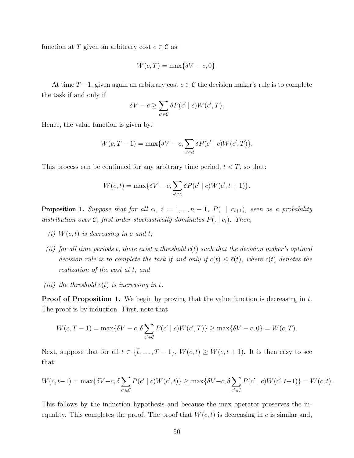function at T given an arbitrary cost  $c \in \mathcal{C}$  as:

$$
W(c,T) = \max\{\delta V - c, 0\}.
$$

At time  $T-1$ , given again an arbitrary cost  $c \in \mathcal{C}$  the decision maker's rule is to complete the task if and only if

$$
\delta V - c \ge \sum_{c' \in \mathcal{C}} \delta P(c' \mid c) W(c', T),
$$

Hence, the value function is given by:

$$
W(c,T-1) = \max\{\delta V - c, \sum_{c' \in \mathcal{C}} \delta P(c' \mid c) W(c',T)\}.
$$

This process can be continued for any arbitrary time period,  $t < T$ , so that:

$$
W(c,t) = \max\{\delta V - c, \sum_{c' \in \mathcal{C}} \delta P(c' \mid c) W(c', t+1)\}.
$$

**Proposition 1.** Suppose that for all  $c_i$ ,  $i = 1, ..., n - 1$ ,  $P(.)$  |  $c_{i+1}$ ), seen as a probability distribution over C, first order stochastically dominates  $P(.) | c_i$ . Then,

- (i)  $W(c, t)$  is decreasing in c and t;
- (ii) for all time periods t, there exist a threshold  $\bar{c}(t)$  such that the decision maker's optimal decision rule is to complete the task if and only if  $c(t) \leq \overline{c}(t)$ , where  $c(t)$  denotes the realization of the cost at t; and
- (iii) the threshold  $\bar{c}(t)$  is increasing in t.

**Proof of Proposition [1.](#page-24-1)** We begin by proving that the value function is decreasing in  $t$ . The proof is by induction. First, note that

$$
W(c, T - 1) = \max\{\delta V - c, \delta \sum_{c' \in C} P(c' \mid c)W(c', T)\} \ge \max\{\delta V - c, 0\} = W(c, T).
$$

Next, suppose that for all  $t \in {\{\overline{t}, \ldots, T-1\}}$ ,  $W(c, t) \geq W(c, t+1)$ . It is then easy to see that:

$$
W(c,\bar{t}-1) = \max\{\delta V - c,\delta \sum_{c' \in \mathcal{C}} P(c' \mid c)W(c',\bar{t})\} \ge \max\{\delta V - c,\delta \sum_{c' \in \mathcal{C}} P(c' \mid c)W(c',\bar{t}+1)\} = W(c,\bar{t}).
$$

This follows by the induction hypothesis and because the max operator preserves the inequality. This completes the proof. The proof that  $W(c, t)$  is decreasing in c is similar and,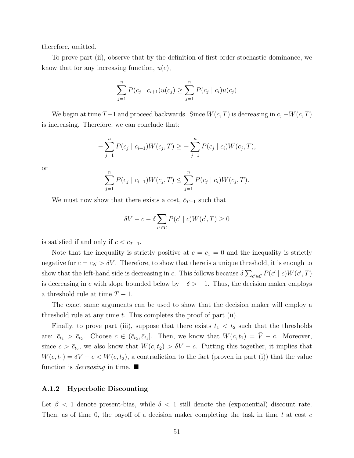therefore, omitted.

To prove part (ii), observe that by the definition of first-order stochastic dominance, we know that for any increasing function,  $u(c)$ ,

$$
\sum_{j=1}^{n} P(c_j \mid c_{i+1}) u(c_j) \ge \sum_{j=1}^{n} P(c_j \mid c_i) u(c_j)
$$

We begin at time  $T-1$  and proceed backwards. Since  $W(c, T)$  is decreasing in  $c, -W(c, T)$ is increasing. Therefore, we can conclude that:

$$
-\sum_{j=1}^{n} P(c_j \mid c_{i+1}) W(c_j, T) \ge -\sum_{j=1}^{n} P(c_j \mid c_i) W(c_j, T),
$$

or

$$
\sum_{j=1}^{n} P(c_j \mid c_{i+1}) W(c_j, T) \le \sum_{j=1}^{n} P(c_j \mid c_i) W(c_j, T).
$$

We must now show that there exists a cost,  $\bar{c}_{T-1}$  such that

$$
\delta V - c - \delta \sum_{c' \in \mathcal{C}} P(c' \mid c) W(c', T) \ge 0
$$

is satisfied if and only if  $c < \bar{c}_{T-1}$ .

Note that the inequality is strictly positive at  $c = c_1 = 0$  and the inequality is strictly negative for  $c = c_N > \delta V$ . Therefore, to show that there is a unique threshold, it is enough to show that the left-hand side is decreasing in c. This follows because  $\delta \sum_{c' \in \mathcal{C}} P(c' \mid c) W(c', T)$ is decreasing in c with slope bounded below by  $-\delta > -1$ . Thus, the decision maker employs a threshold rule at time  $T-1$ .

The exact same arguments can be used to show that the decision maker will employ a threshold rule at any time  $t$ . This completes the proof of part (ii).

Finally, to prove part (iii), suppose that there exists  $t_1 < t_2$  such that the thresholds are:  $\bar{c}_{t_1} > \bar{c}_{t_2}$ . Choose  $c \in (\bar{c}_{t_2}, \bar{c}_{t_1}]$ . Then, we know that  $W(c, t_1) = \bar{V} - c$ . Moreover, since  $c > \bar{c}_{t_2}$ , we also know that  $W(c, t_2) > \delta V - c$ . Putting this together, it implies that  $W(c, t_1) = \delta V - c < W(c, t_2)$ , a contradiction to the fact (proven in part (i)) that the value function is *decreasing* in time.

#### A.1.2 Hyperbolic Discounting

Let  $\beta$  < 1 denote present-bias, while  $\delta$  < 1 still denote the (exponential) discount rate. Then, as of time 0, the payoff of a decision maker completing the task in time t at cost  $c$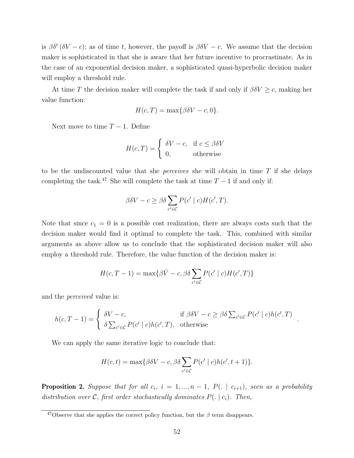is  $\beta \delta^t (\delta V - c)$ ; as of time t, however, the payoff is  $\beta \delta V - c$ . We assume that the decision maker is sophisticated in that she is aware that her future incentive to procrastinate. As in the case of an exponential decision maker, a sophisticated quasi-hyperbolic decision maker will employ a threshold rule.

At time T the decision maker will complete the task if and only if  $\beta \delta V \geq c$ , making her value function:

$$
H(c,T) = \max\{\beta \delta V - c, 0\}.
$$

Next move to time  $T - 1$ . Define

$$
H(c,T) = \begin{cases} \delta V - c, & \text{if } c \le \beta \delta V \\ 0, & \text{otherwise} \end{cases}
$$

to be the undiscounted value that she *perceives* she will obtain in time  $T$  if she delays completing the task.<sup>[47](#page-52-0)</sup> She will complete the task at time  $T-1$  if and only if:

$$
\beta \delta V - c \ge \beta \delta \sum_{c' \in \mathcal{C}} P(c' \mid c) H(c', T).
$$

Note that since  $c_1 = 0$  is a possible cost realization, there are always costs such that the decision maker would find it optimal to complete the task. This, combined with similar arguments as above allow us to conclude that the sophisticated decision maker will also employ a threshold rule. Therefore, the value function of the decision maker is:

$$
H(c, T-1) = \max\{\beta \bar{V} - c, \beta \delta \sum_{c' \in C} P(c' \mid c) H(c', T)\}\
$$

and the perceived value is:

$$
h(c,T-1) = \begin{cases} \delta V - c, & \text{if } \beta \delta V - c \ge \beta \delta \sum_{c' \in \mathcal{C}} P(c' \mid c) h(c',T) \\ \delta \sum_{c' \in \mathcal{C}} P(c' \mid c) h(c',T), & \text{otherwise} \end{cases}
$$

.

We can apply the same iterative logic to conclude that:

$$
H(c,t) = \max\{\beta \delta V - c, \beta \delta \sum_{c' \in \mathcal{C}} P(c' \mid c) h(c', t+1)\}.
$$

**Proposition 2.** Suppose that for all  $c_i$ ,  $i = 1, ..., n - 1$ ,  $P(.)$  |  $c_{i+1}$ ), seen as a probability distribution over C, first order stochastically dominates  $P(.) | c_i$ . Then,

<span id="page-52-0"></span><sup>&</sup>lt;sup>47</sup>Observe that she applies the correct policy function, but the  $\beta$  term disappears.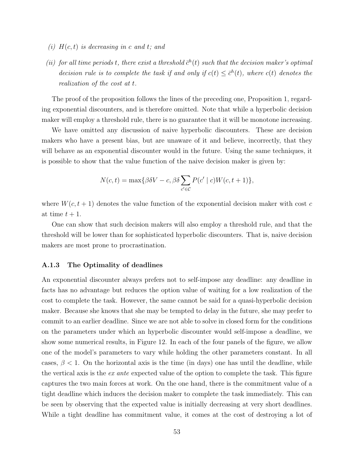- (i)  $H(c, t)$  is decreasing in c and t; and
- (ii) for all time periods t, there exist a threshold  $\bar{c}^h(t)$  such that the decision maker's optimal decision rule is to complete the task if and only if  $c(t) \leq \bar{c}^h(t)$ , where  $c(t)$  denotes the realization of the cost at t.

The proof of the proposition follows the lines of the preceding one, Proposition 1, regarding exponential discounters, and is therefore omitted. Note that while a hyperbolic decision maker will employ a threshold rule, there is no guarantee that it will be monotone increasing.

We have omitted any discussion of naive hyperbolic discounters. These are decision makers who have a present bias, but are unaware of it and believe, incorrectly, that they will behave as an exponential discounter would in the future. Using the same techniques, it is possible to show that the value function of the naive decision maker is given by:

$$
N(c,t) = \max\{\beta \delta V - c, \beta \delta \sum_{c' \in \mathcal{C}} P(c' \mid c) W(c, t+1)\},\
$$

where  $W(c, t + 1)$  denotes the value function of the exponential decision maker with cost c at time  $t + 1$ .

One can show that such decision makers will also employ a threshold rule, and that the threshold will be lower than for sophisticated hyperbolic discounters. That is, naive decision makers are most prone to procrastination.

#### A.1.3 The Optimality of deadlines

An exponential discounter always prefers not to self-impose any deadline: any deadline in facts has no advantage but reduces the option value of waiting for a low realization of the cost to complete the task. However, the same cannot be said for a quasi-hyperbolic decision maker. Because she knows that she may be tempted to delay in the future, she may prefer to commit to an earlier deadline. Since we are not able to solve in closed form for the conditions on the parameters under which an hyperbolic discounter would self-impose a deadline, we show some numerical results, in Figure [12.](#page-54-0) In each of the four panels of the figure, we allow one of the model's parameters to vary while holding the other parameters constant. In all cases,  $\beta$  < 1. On the horizontal axis is the time (in days) one has until the deadline, while the vertical axis is the ex ante expected value of the option to complete the task. This figure captures the two main forces at work. On the one hand, there is the commitment value of a tight deadline which induces the decision maker to complete the task immediately. This can be seen by observing that the expected value is initially decreasing at very short deadlines. While a tight deadline has commitment value, it comes at the cost of destroying a lot of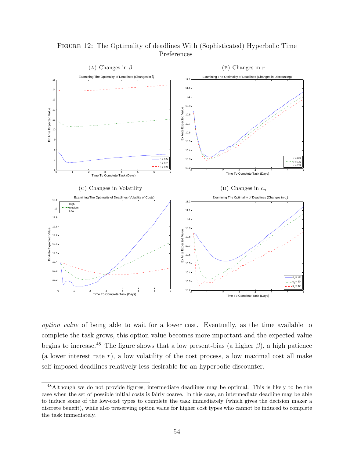

<span id="page-54-0"></span>Figure 12: The Optimality of deadlines With (Sophisticated) Hyperbolic Time Preferences

option value of being able to wait for a lower cost. Eventually, as the time available to complete the task grows, this option value becomes more important and the expected value begins to increase.<sup>[48](#page-54-1)</sup> The figure shows that a low present-bias (a higher  $\beta$ ), a high patience (a lower interest rate  $r$ ), a low volatility of the cost process, a low maximal cost all make self-imposed deadlines relatively less-desirable for an hyperbolic discounter.

<span id="page-54-1"></span><sup>48</sup>Although we do not provide figures, intermediate deadlines may be optimal. This is likely to be the case when the set of possible initial costs is fairly coarse. In this case, an intermediate deadline may be able to induce some of the low-cost types to complete the task immediately (which gives the decision maker a discrete benefit), while also preserving option value for higher cost types who cannot be induced to complete the task immediately.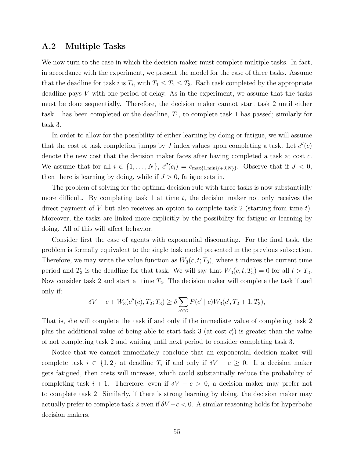#### A.2 Multiple Tasks

We now turn to the case in which the decision maker must complete multiple tasks. In fact, in accordance with the experiment, we present the model for the case of three tasks. Assume that the deadline for task i is  $T_i$ , with  $T_1 \leq T_2 \leq T_3$ . Each task completed by the appropriate deadline pays  $V$  with one period of delay. As in the experiment, we assume that the tasks must be done sequentially. Therefore, the decision maker cannot start task 2 until either task 1 has been completed or the deadline,  $T_1$ , to complete task 1 has passed; similarly for task 3.

In order to allow for the possibility of either learning by doing or fatigue, we will assume that the cost of task completion jumps by J index values upon completing a task. Let  $c''(c)$ denote the new cost that the decision maker faces after having completed a task at cost c. We assume that for all  $i \in \{1, \ldots, N\}$ ,  $c''(c_i) = c_{\max\{1, \min\{i + J, N\}\}}$ . Observe that if  $J < 0$ , then there is learning by doing, while if  $J > 0$ , fatigue sets in.

The problem of solving for the optimal decision rule with three tasks is now substantially more difficult. By completing task 1 at time  $t$ , the decision maker not only receives the direct payment of V but also receives an option to complete task 2 (starting from time t). Moreover, the tasks are linked more explicitly by the possibility for fatigue or learning by doing. All of this will affect behavior.

Consider first the case of agents with exponential discounting. For the final task, the problem is formally equivalent to the single task model presented in the previous subsection. Therefore, we may write the value function as  $W_3(c, t; T_3)$ , where t indexes the current time period and  $T_3$  is the deadline for that task. We will say that  $W_3(c, t; T_3) = 0$  for all  $t > T_3$ . Now consider task 2 and start at time  $T_2$ . The decision maker will complete the task if and only if:

$$
\delta V - c + W_3(c''(c), T_2; T_3) \ge \delta \sum_{c' \in C} P(c' \mid c) W_3(c', T_2 + 1, T_3),
$$

That is, she will complete the task if and only if the immediate value of completing task 2 plus the additional value of being able to start task 3 (at cost  $c_i$ ) is greater than the value of not completing task 2 and waiting until next period to consider completing task 3.

Notice that we cannot immediately conclude that an exponential decision maker will complete task  $i \in \{1,2\}$  at deadline  $T_i$  if and only if  $\delta V - c \geq 0$ . If a decision maker gets fatigued, then costs will increase, which could substantially reduce the probability of completing task  $i + 1$ . Therefore, even if  $\delta V - c > 0$ , a decision maker may prefer not to complete task 2. Similarly, if there is strong learning by doing, the decision maker may actually prefer to complete task 2 even if  $\delta V - c < 0$ . A similar reasoning holds for hyperbolic decision makers.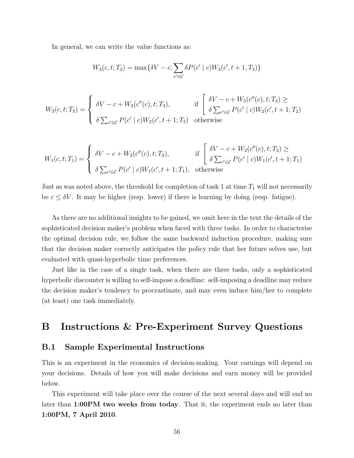In general, we can write the value functions as:

$$
W_3(c, t; T_3) = \max\{\delta V - c, \sum_{c' \in C} \delta P(c' \mid c) W_3(c', t + 1, T_3)\}\
$$

$$
W_2(c, t; T_2) = \begin{cases} \delta V - c + W_3(c''(c), t; T_3), & \text{if } \left[ \begin{array}{c} \delta V - c + W_3(c''(c), t; T_3) \ge \\ \delta \sum_{c' \in \mathcal{C}} P(c' \mid c) W_2(c', t + 1; T_2) \end{array} \right. \\ \delta \sum_{c' \in \mathcal{C}} P(c' \mid c) W_2(c', t + 1; T_2) & \text{otherwise} \end{cases}
$$

$$
W_1(c, t; T_1) = \begin{cases} \delta V - c + W_2(c''(c), t; T_2), & \text{if } \begin{cases} \delta V - c + W_2(c''(c), t; T_2) \ge \\ \delta \sum_{c' \in \mathcal{C}} P(c' \mid c) W_1(c', t + 1; T_1), \end{cases} \\ \delta \sum_{c' \in \mathcal{C}} P(c' \mid c) W_1(c', t + 1; T_1), & \text{otherwise} \end{cases}
$$

Just as was noted above, the threshold for completion of task 1 at time  $T_1$  will not necessarily be  $c \leq \delta V$ . It may be higher (resp. lower) if there is learning by doing (resp. fatigue).

As there are no additional insights to be gained, we omit here in the text the details of the sophisticated decision maker's problem when faced with three tasks. In order to characterise the optimal decision rule, we follow the same backward induction procedure, making sure that the decision maker correctly anticipates the policy rule that her future selves use, but evaluated with quasi-hyperbolic time preferences.

Just like in the case of a single task, when there are three tasks, only a sophisticated hyperbolic discounter is willing to self-impose a deadline: self-imposing a deadline may reduce the decision maker's tendency to procrastinate, and may even induce him/her to complete (at least) one task immediately.

# <span id="page-56-0"></span>B Instructions & Pre-Experiment Survey Questions

### B.1 Sample Experimental Instructions

This is an experiment in the economics of decision-making. Your earnings will depend on your decisions. Details of how you will make decisions and earn money will be provided below.

This experiment will take place over the course of the next several days and will end no later than 1:00PM two weeks from today. That it, the experiment ends no later than 1:00PM, 7 April 2010.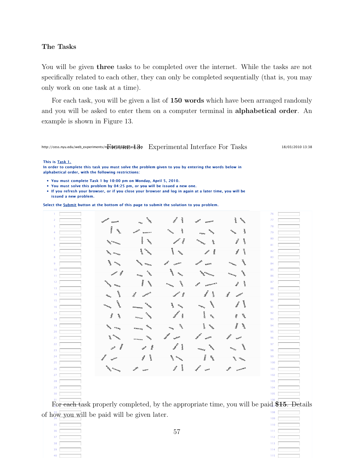#### The Tasks

You will be given three tasks to be completed over the internet. While the tasks are not specifically related to each other, they can only be completed sequentially (that is, you may only work on one task at a time).

For each task, you will be given a list of 150 words which have been arranged randomly and you will be asked to enter them on a computer terminal in alphabetical order. An example is shown in Figure [13.](#page-57-0)

## <span id="page-57-0"></span>http://cess.nyu.edu/web\_experiments/n $\overline{\psi}$ phGdi)A@asiL $\mathfrak{F}$ p $\;$   $\;$  Experimental Interface For Tasks

18/03/2010 13:38

This is Task 1.

In order to complete this task you must solve the problem given to you by entering the words below in alphabetical order, with the following restrictions:

• You must complete Task 1 by 10:00 pm on Monday, April 5, 2010.

You must solve this problem by 04:25 pm, or you will be issued a new one.

• If you refresh your browser, or if you close your browser and log in again at a later time, you will be issued a new problem.

Select the Submit button at the bottom of this page to submit the solution to you problem.



 of how you will be paid will be given later. 

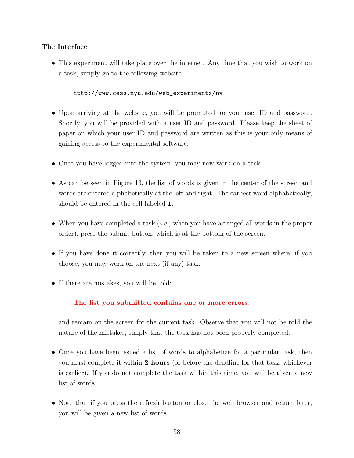### The Interface

• This experiment will take place over the internet. Any time that you wish to work on a task, simply go to the following website:

[http://www.cess.nyu.edu/web\\_experiments/ny](http://www.cess.nyu.edu/web_experiments/ny)

- Upon arriving at the website, you will be prompted for your user ID and password. Shortly, you will be provided with a user ID and password. Please keep the sheet of paper on which your user ID and password are written as this is your only means of gaining access to the experimental software.
- Once you have logged into the system, you may now work on a task.
- As can be seen in Figure [13,](#page-57-0) the list of words is given in the center of the screen and words are entered alphabetically at the left and right. The earliest word alphabetically, should be entered in the cell labeled 1.
- When you have completed a task  $(i.e.,$  when you have arranged all words in the proper order), press the submit button, which is at the bottom of the screen.
- If you have done it correctly, then you will be taken to a new screen where, if you choose, you may work on the next (if any) task.
- If there are mistakes, you will be told:

### The list you submitted contains one or more errors.

and remain on the screen for the current task. Observe that you will not be told the nature of the mistakes, simply that the task has not been properly completed.

- Once you have been issued a list of words to alphabetize for a particular task, then you must complete it within 2 hours (or before the deadline for that task, whichever is earlier). If you do not complete the task within this time, you will be given a new list of words.
- Note that if you press the refresh button or close the web browser and return later, you will be given a new list of words.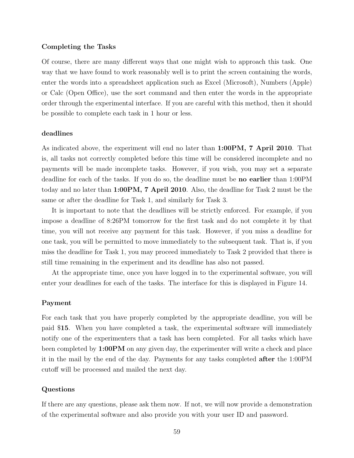#### Completing the Tasks

Of course, there are many different ways that one might wish to approach this task. One way that we have found to work reasonably well is to print the screen containing the words, enter the words into a spreadsheet application such as Excel (Microsoft), Numbers (Apple) or Calc (Open Office), use the sort command and then enter the words in the appropriate order through the experimental interface. If you are careful with this method, then it should be possible to complete each task in 1 hour or less.

#### deadlines

As indicated above, the experiment will end no later than 1:00PM, 7 April 2010. That is, all tasks not correctly completed before this time will be considered incomplete and no payments will be made incomplete tasks. However, if you wish, you may set a separate deadline for each of the tasks. If you do so, the deadline must be no earlier than 1:00PM today and no later than 1:00PM, 7 April 2010. Also, the deadline for Task 2 must be the same or after the deadline for Task 1, and similarly for Task 3.

It is important to note that the deadlines will be strictly enforced. For example, if you impose a deadline of 8:26PM tomorrow for the first task and do not complete it by that time, you will not receive any payment for this task. However, if you miss a deadline for one task, you will be permitted to move immediately to the subsequent task. That is, if you miss the deadline for Task 1, you may proceed immediately to Task 2 provided that there is still time remaining in the experiment and its deadline has also not passed.

At the appropriate time, once you have logged in to the experimental software, you will enter your deadlines for each of the tasks. The interface for this is displayed in Figure [14.](#page-60-0)

#### Payment

For each task that you have properly completed by the appropriate deadline, you will be paid \$15. When you have completed a task, the experimental software will immediately notify one of the experimenters that a task has been completed. For all tasks which have been completed by 1:00PM on any given day, the experimenter will write a check and place it in the mail by the end of the day. Payments for any tasks completed after the 1:00PM cutoff will be processed and mailed the next day.

#### Questions

If there are any questions, please ask them now. If not, we will now provide a demonstration of the experimental software and also provide you with your user ID and password.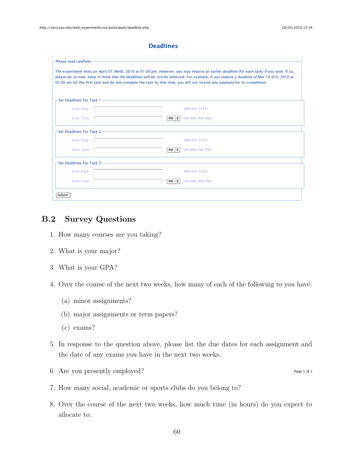**Figure 14: Experimental Interface For Choosing deadlines** 

<span id="page-60-0"></span>

| -Please read carefully–                                                                                       | The experiment ends on April 07 (Wed), 2010 at 01:00 pm .However, you may impose an earlier deadline (for each task) if you wish. If so,    |  |
|---------------------------------------------------------------------------------------------------------------|---------------------------------------------------------------------------------------------------------------------------------------------|--|
|                                                                                                               | please do so now. Keep in mind that the deadlines will be strictly enforced. For example, if you impose a deadline of Mar 19 (Fri), 2010 at |  |
|                                                                                                               | 02:00 am for the first task and do not complete the task by that time, you will not receive any payment for its completion.                 |  |
| -Set Deadlines For Task 1-                                                                                    |                                                                                                                                             |  |
| Enter Date:                                                                                                   | (MM/DD/YYYY)                                                                                                                                |  |
| <b>Enter Time:</b>                                                                                            | $PM \div$<br>(HH:MM (AM/PM))                                                                                                                |  |
|                                                                                                               | -Set Deadlines For Task 2 ————————————————————————————————                                                                                  |  |
| Enter Date:                                                                                                   | (MM/DD/YYYY)                                                                                                                                |  |
| <b>Enter Time:</b>                                                                                            | $PM \div$<br>(HH:MM (AM/PM))                                                                                                                |  |
| -Set Deadlines For Task 3 - 2008 - 2009 - 2014 - 2015 - 2016 - 2017 - 2018 - 2019 - 2018 - 2019 - 2019 - 2019 |                                                                                                                                             |  |
| Enter Date:                                                                                                   | (MM/DD/YYYY)                                                                                                                                |  |
| <b>Enter Time:</b>                                                                                            | $PM \div$<br>(HH:MM (AM/PM))                                                                                                                |  |
|                                                                                                               |                                                                                                                                             |  |

## B.2 Survey Questions

- 1. How many courses are you taking?
- 2. What is your major?
- 3. What is your GPA?
- 4. Over the course of the next two weeks, how many of each of the following to you have:
	- (a) minor assignments?
	- (b) major assignments or term papers?
	- (c) exams?
- 5. In response to the question above, please list the due dates for each assignment and the date of any exams you have in the next two weeks.
- 6. Are you presently employed?
- 7. How many social, academic or sports clubs do you belong to?
- 8. Over the course of the next two weeks, how much time (in hours) do you expect to allocate to:

Page 1 of 1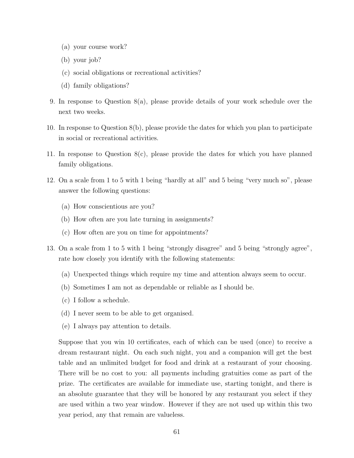- (a) your course work?
- (b) your job?
- (c) social obligations or recreational activities?
- (d) family obligations?
- 9. In response to Question 8(a), please provide details of your work schedule over the next two weeks.
- 10. In response to Question 8(b), please provide the dates for which you plan to participate in social or recreational activities.
- 11. In response to Question 8(c), please provide the dates for which you have planned family obligations.
- 12. On a scale from 1 to 5 with 1 being "hardly at all" and 5 being "very much so", please answer the following questions:
	- (a) How conscientious are you?
	- (b) How often are you late turning in assignments?
	- (c) How often are you on time for appointments?
- 13. On a scale from 1 to 5 with 1 being "strongly disagree" and 5 being "strongly agree", rate how closely you identify with the following statements:
	- (a) Unexpected things which require my time and attention always seem to occur.
	- (b) Sometimes I am not as dependable or reliable as I should be.
	- (c) I follow a schedule.
	- (d) I never seem to be able to get organised.
	- (e) I always pay attention to details.

Suppose that you win 10 certificates, each of which can be used (once) to receive a dream restaurant night. On each such night, you and a companion will get the best table and an unlimited budget for food and drink at a restaurant of your choosing. There will be no cost to you: all payments including gratuities come as part of the prize. The certificates are available for immediate use, starting tonight, and there is an absolute guarantee that they will be honored by any restaurant you select if they are used within a two year window. However if they are not used up within this two year period, any that remain are valueless.